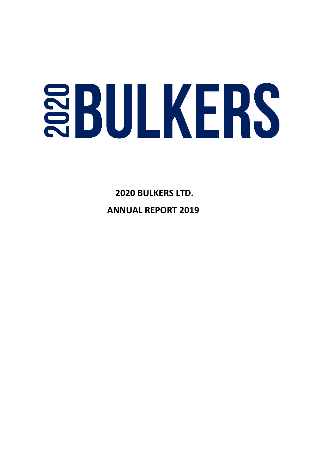# **SBULKERS**

 **2020 BULKERS LTD. ANNUAL REPORT 2019**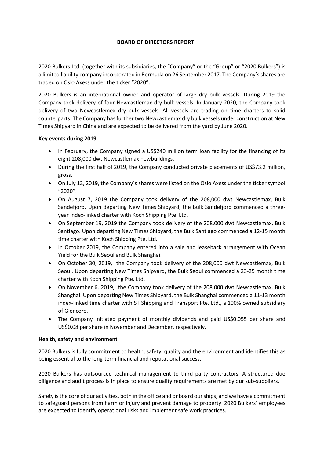# **BOARD OF DIRECTORS REPORT**

2020 Bulkers Ltd. (together with its subsidiaries, the "Company" or the "Group" or "2020 Bulkers") is a limited liability company incorporated in Bermuda on 26 September 2017. The Company's shares are traded on Oslo Axess under the ticker "2020".

2020 Bulkers is an international owner and operator of large dry bulk vessels. During 2019 the Company took delivery of four Newcastlemax dry bulk vessels. In January 2020, the Company took delivery of two Newcastlemex dry bulk vessels. All vessels are trading on time charters to solid counterparts. The Company has further two Newcastlemax dry bulk vessels under construction at New Times Shipyard in China and are expected to be delivered from the yard by June 2020.

# **Key events during 2019**

- In February, the Company signed a US\$240 million term loan facility for the financing of its eight 208,000 dwt Newcastlemax newbuildings.
- During the first half of 2019, the Company conducted private placements of US\$73.2 million, gross.
- On July 12, 2019, the Company´s shares were listed on the Oslo Axess under the ticker symbol "2020".
- On August 7, 2019 the Company took delivery of the 208,000 dwt Newcastlemax, Bulk Sandefjord. Upon departing New Times Shipyard, the Bulk Sandefjord commenced a threeyear index-linked charter with Koch Shipping Pte. Ltd.
- On September 19, 2019 the Company took delivery of the 208,000 dwt Newcastlemax, Bulk Santiago. Upon departing New Times Shipyard, the Bulk Santiago commenced a 12-15 month time charter with Koch Shipping Pte. Ltd.
- In October 2019, the Company entered into a sale and leaseback arrangement with Ocean Yield for the Bulk Seoul and Bulk Shanghai.
- On October 30, 2019, the Company took delivery of the 208,000 dwt Newcastlemax, Bulk Seoul. Upon departing New Times Shipyard, the Bulk Seoul commenced a 23-25 month time charter with Koch Shipping Pte. Ltd.
- On November 6, 2019, the Company took delivery of the 208,000 dwt Newcastlemax, Bulk Shanghai. Upon departing New Times Shipyard, the Bulk Shanghai commenced a 11-13 month index-linked time charter with ST Shipping and Transport Pte. Ltd., a 100% owned subsidiary of Glencore.
- The Company initiated payment of monthly dividends and paid US\$0.055 per share and US\$0.08 per share in November and December, respectively.

# **Health, safety and environment**

2020 Bulkers is fully commitment to health, safety, quality and the environment and identifies this as being essential to the long-term financial and reputational success.

2020 Bulkers has outsourced technical management to third party contractors. A structured due diligence and audit process is in place to ensure quality requirements are met by our sub-suppliers.

Safety is the core of our activities, both in the office and onboard our ships, and we have a commitment to safeguard persons from harm or injury and prevent damage to property. 2020 Bulkers´ employees are expected to identify operational risks and implement safe work practices.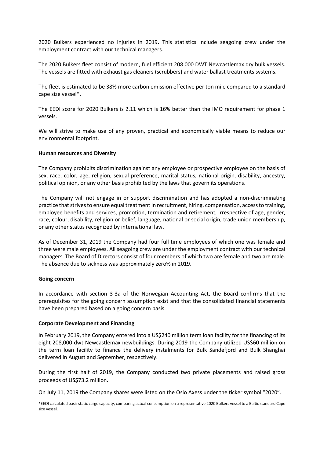2020 Bulkers experienced no injuries in 2019. This statistics include seagoing crew under the employment contract with our technical managers.

The 2020 Bulkers fleet consist of modern, fuel efficient 208.000 DWT Newcastlemax dry bulk vessels. The vessels are fitted with exhaust gas cleaners (scrubbers) and water ballast treatments systems.

The fleet is estimated to be 38% more carbon emission effective per ton mile compared to a standard cape size vessel\*.

The EEDI score for 2020 Bulkers is 2.11 which is 16% better than the IMO requirement for phase 1 vessels.

We will strive to make use of any proven, practical and economically viable means to reduce our environmental footprint.

### **Human resources and Diversity**

The Company prohibits discrimination against any employee or prospective employee on the basis of sex, race, color, age, religion, sexual preference, marital status, national origin, disability, ancestry, political opinion, or any other basis prohibited by the laws that govern its operations.

The Company will not engage in or support discrimination and has adopted a non-discriminating practice that strives to ensure equal treatment in recruitment, hiring, compensation, access to training, employee benefits and services, promotion, termination and retirement, irrespective of age, gender, race, colour, disability, religion or belief, language, national or social origin, trade union membership, or any other status recognized by international law.

As of December 31, 2019 the Company had four full time employees of which one was female and three were male employees. All seagoing crew are under the employment contract with our technical managers. The Board of Directors consist of four members of which two are female and two are male. The absence due to sickness was approximately zero% in 2019.

### **Going concern**

In accordance with section 3-3a of the Norwegian Accounting Act, the Board confirms that the prerequisites for the going concern assumption exist and that the consolidated financial statements have been prepared based on a going concern basis.

### **Corporate Development and Financing**

In February 2019, the Company entered into a US\$240 million term loan facility for the financing of its eight 208,000 dwt Newcastlemax newbuildings. During 2019 the Company utilized US\$60 million on the term loan facility to finance the delivery instalments for Bulk Sandefjord and Bulk Shanghai delivered in August and September, respectively.

During the first half of 2019, the Company conducted two private placements and raised gross proceeds of US\$73.2 million.

On July 11, 2019 the Company shares were listed on the Oslo Axess under the ticker symbol "2020".

\*EEOI calculated basis static cargo capacity, comparing actual consumption on a representative 2020 Bulkers vessel to a Baltic standard Cape size vessel.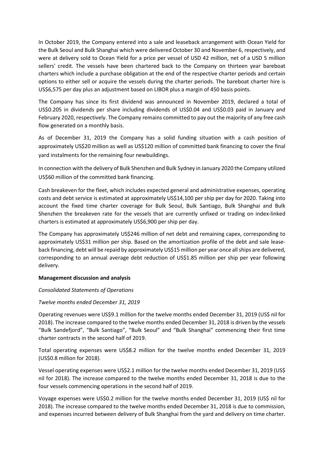In October 2019, the Company entered into a sale and leaseback arrangement with Ocean Yield for the Bulk Seoul and Bulk Shanghai which were delivered October 30 and November 6, respectively, and were at delivery sold to Ocean Yield for a price per vessel of USD 42 million, net of a USD 5 million sellers' credit. The vessels have been chartered back to the Company on thirteen year bareboat charters which include a purchase obligation at the end of the respective charter periods and certain options to either sell or acquire the vessels during the charter periods. The bareboat charter hire is US\$6,575 per day plus an adjustment based on LIBOR plus a margin of 450 basis points.

The Company has since its first dividend was announced in November 2019, declared a total of US\$0.205 in dividends per share including dividends of US\$0.04 and US\$0.03 paid in January and February 2020, respectively. The Company remains committed to pay out the majority of any free cash flow generated on a monthly basis.

As of December 31, 2019 the Company has a solid funding situation with a cash position of approximately US\$20 million as well as US\$120 million of committed bank financing to cover the final yard instalments for the remaining four newbuildings.

In connection with the delivery of Bulk Shenzhen and Bulk Sydney in January 2020 the Company utilized US\$60 million of the committed bank financing.

Cash breakeven for the fleet, which includes expected general and administrative expenses, operating costs and debt service is estimated at approximately US\$14,100 per ship per day for 2020. Taking into account the fixed time charter coverage for Bulk Seoul, Bulk Santiago, Bulk Shanghai and Bulk Shenzhen the breakeven rate for the vessels that are currently unfixed or trading on index-linked charters is estimated at approximately US\$6,900 per ship per day.

The Company has approximately US\$246 million of net debt and remaining capex, corresponding to approximately US\$31 million per ship. Based on the amortization profile of the debt and sale leaseback financing, debt will be repaid by approximately US\$15 million per year once all ships are delivered, corresponding to an annual average debt reduction of US\$1.85 million per ship per year following delivery.

# **Management discussion and analysis**

# *Consolidated Statements of Operations*

# *Twelve months ended December 31, 2019*

Operating revenues were US\$9.1 million for the twelve months ended December 31, 2019 (US\$ nil for 2018). The increase compared to the twelve months ended December 31, 2018 is driven by the vessels "Bulk Sandefjord", "Bulk Santiago", "Bulk Seoul" and "Bulk Shanghai" commencing their first time charter contracts in the second half of 2019.

Total operating expenses were US\$8.2 million for the twelve months ended December 31, 2019 (US\$0.8 million for 2018).

Vessel operating expenses were US\$2.1 million for the twelve months ended December 31, 2019 (US\$ nil for 2018). The increase compared to the twelve months ended December 31, 2018 is due to the four vessels commencing operations in the second half of 2019.

Voyage expenses were US\$0.2 million for the twelve months ended December 31, 2019 (US\$ nil for 2018). The increase compared to the twelve months ended December 31, 2018 is due to commission, and expenses incurred between delivery of Bulk Shanghai from the yard and delivery on time charter.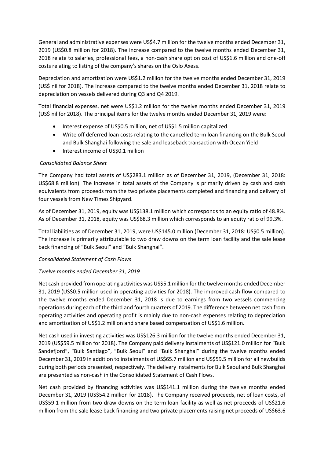General and administrative expenses were US\$4.7 million for the twelve months ended December 31, 2019 (US\$0.8 million for 2018). The increase compared to the twelve months ended December 31, 2018 relate to salaries, professional fees, a non-cash share option cost of US\$1.6 million and one-off costs relating to listing of the company's shares on the Oslo Axess.

Depreciation and amortization were US\$1.2 million for the twelve months ended December 31, 2019 (US\$ nil for 2018). The increase compared to the twelve months ended December 31, 2018 relate to depreciation on vessels delivered during Q3 and Q4 2019.

Total financial expenses, net were US\$1.2 million for the twelve months ended December 31, 2019 (US\$ nil for 2018). The principal items for the twelve months ended December 31, 2019 were:

- Interest expense of US\$0.5 million, net of US\$1.5 million capitalized
- Write off deferred loan costs relating to the cancelled term loan financing on the Bulk Seoul and Bulk Shanghai following the sale and leaseback transaction with Ocean Yield
- Interest income of US\$0.1 million

# *Consolidated Balance Sheet*

The Company had total assets of US\$283.1 million as of December 31, 2019, (December 31, 2018: US\$68.8 million). The increase in total assets of the Company is primarily driven by cash and cash equivalents from proceeds from the two private placements completed and financing and delivery of four vessels from New Times Shipyard.

As of December 31, 2019, equity was US\$138.1 million which corresponds to an equity ratio of 48.8%. As of December 31, 2018, equity was US\$68.3 million which corresponds to an equity ratio of 99.3%.

Total liabilities as of December 31, 2019, were US\$145.0 million (December 31, 2018: US\$0.5 million). The increase is primarily attributable to two draw downs on the term loan facility and the sale lease back financing of "Bulk Seoul" and "Bulk Shanghai".

# *Consolidated Statement of Cash Flows*

# *Twelve months ended December 31, 2019*

Net cash provided from operating activities was US\$5.1 million for the twelve months ended December 31, 2019 (US\$0.5 million used in operating activities for 2018). The improved cash flow compared to the twelve months ended December 31, 2018 is due to earnings from two vessels commencing operations during each of the third and fourth quarters of 2019. The difference between net cash from operating activities and operating profit is mainly due to non-cash expenses relating to depreciation and amortization of US\$1.2 million and share based compensation of US\$1.6 million.

Net cash used in investing activities was US\$126.3 million for the twelve months ended December 31, 2019 (US\$59.5 million for 2018). The Company paid delivery instalments of US\$121.0 million for "Bulk Sandefjord", "Bulk Santiago", "Bulk Seoul" and "Bulk Shanghai" during the twelve months ended December 31, 2019 in addition to instalments of US\$65.7 million and US\$59.5 million for all newbuilds during both periods presented, respectively. The delivery instalments for Bulk Seoul and Bulk Shanghai are presented as non-cash in the Consolidated Statement of Cash Flows.

Net cash provided by financing activities was US\$141.1 million during the twelve months ended December 31, 2019 (US\$54.2 million for 2018). The Company received proceeds, net of loan costs, of US\$59.1 million from two draw downs on the term loan facility as well as net proceeds of US\$21.6 million from the sale lease back financing and two private placements raising net proceeds of US\$63.6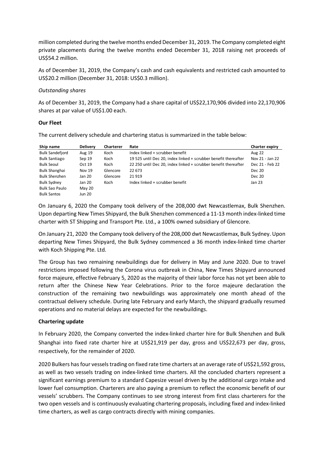million completed during the twelve months ended December 31, 2019. The Company completed eight private placements during the twelve months ended December 31, 2018 raising net proceeds of US\$54.2 million.

As of December 31, 2019, the Company's cash and cash equivalents and restricted cash amounted to US\$20.2 million (December 31, 2018: US\$0.3 million).

# *Outstanding shares*

As of December 31, 2019, the Company had a share capital of US\$22,170,906 divided into 22,170,906 shares at par value of US\$1.00 each.

# **Our Fleet**

The current delivery schedule and chartering status is summarized in the table below:

| Ship name              | <b>Delivery</b> | <b>Charterer</b> | Rate                                                            | Charter expiry  |
|------------------------|-----------------|------------------|-----------------------------------------------------------------|-----------------|
| <b>Bulk Sandefjord</b> | Aug 19          | Koch             | Index linked + scrubber benefit                                 | <b>Aug 22</b>   |
| <b>Bulk Santiago</b>   | Sep 19          | Koch             | 19 525 until Dec 20, index linked + scrubber benefit thereafter | Nov 21 - Jan 22 |
| <b>Bulk Seoul</b>      | Oct 19          | Koch             | 22 250 until Dec 20, index linked + scrubber benefit thereafter | Dec 21 - Feb 22 |
| <b>Bulk Shanghai</b>   | <b>Nov 19</b>   | Glencore         | 22 673                                                          | <b>Dec 20</b>   |
| <b>Bulk Shenzhen</b>   | Jan 20          | Glencore         | 21919                                                           | <b>Dec 20</b>   |
| <b>Bulk Sydney</b>     | Jan 20          | Koch             | Index linked + scrubber benefit                                 | Jan 23          |
| Bulk Sao Paulo         | May 20          |                  |                                                                 |                 |
| <b>Bulk Santos</b>     | <b>Jun 20</b>   |                  |                                                                 |                 |

On January 6, 2020 the Company took delivery of the 208,000 dwt Newcastlemax, Bulk Shenzhen. Upon departing New Times Shipyard, the Bulk Shenzhen commenced a 11-13 month index-linked time charter with ST Shipping and Transport Pte. Ltd., a 100% owned subsidiary of Glencore.

On January 21, 2020 the Company took delivery of the 208,000 dwt Newcastlemax, Bulk Sydney. Upon departing New Times Shipyard, the Bulk Sydney commenced a 36 month index-linked time charter with Koch Shipping Pte. Ltd.

The Group has two remaining newbuildings due for delivery in May and June 2020. Due to travel restrictions imposed following the Corona virus outbreak in China, New Times Shipyard announced force majeure, effective February 5, 2020 as the majority of their labor force has not yet been able to return after the Chinese New Year Celebrations. Prior to the force majeure declaration the construction of the remaining two newbuildings was approximately one month ahead of the contractual delivery schedule. During late February and early March, the shipyard gradually resumed operations and no material delays are expected for the newbuildings.

# **Chartering update**

In February 2020, the Company converted the index-linked charter hire for Bulk Shenzhen and Bulk Shanghai into fixed rate charter hire at US\$21,919 per day, gross and US\$22,673 per day, gross, respectively, for the remainder of 2020.

2020 Bulkers has four vessels trading on fixed rate time charters at an average rate of US\$21,592 gross, as well as two vessels trading on index-linked time charters. All the concluded charters represent a significant earnings premium to a standard Capesize vessel driven by the additional cargo intake and lower fuel consumption. Charterers are also paying a premium to reflect the economic benefit of our vessels' scrubbers. The Company continues to see strong interest from first class charterers for the two open vessels and is continuously evaluating chartering proposals, including fixed and index-linked time charters, as well as cargo contracts directly with mining companies.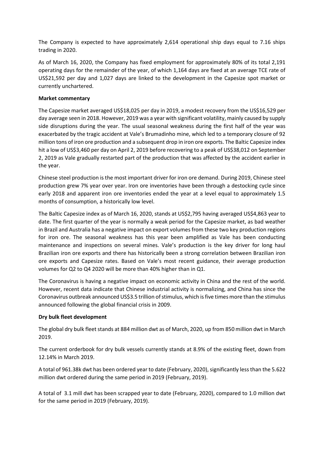The Company is expected to have approximately 2,614 operational ship days equal to 7.16 ships trading in 2020.

As of March 16, 2020, the Company has fixed employment for approximately 80% of its total 2,191 operating days for the remainder of the year, of which 1,164 days are fixed at an average TCE rate of US\$21,592 per day and 1,027 days are linked to the development in the Capesize spot market or currently unchartered.

# **Market commentary**

The Capesize market averaged US\$18,025 per day in 2019, a modest recovery from the US\$16,529 per day average seen in 2018. However, 2019 was a year with significant volatility, mainly caused by supply side disruptions during the year. The usual seasonal weakness during the first half of the year was exacerbated by the tragic accident at Vale's Brumadinho mine, which led to a temporary closure of 92 million tons of iron ore production and a subsequent drop in iron ore exports. The Baltic Capesize index hit a low of US\$3,460 per day on April 2, 2019 before recovering to a peak of US\$38,012 on September 2, 2019 as Vale gradually restarted part of the production that was affected by the accident earlier in the year.

Chinese steel production is the most important driver for iron ore demand. During 2019, Chinese steel production grew 7% year over year. Iron ore inventories have been through a destocking cycle since early 2018 and apparent iron ore inventories ended the year at a level equal to approximately 1.5 months of consumption, a historically low level.

The Baltic Capesize index as of March 16, 2020, stands at US\$2,795 having averaged US\$4,863 year to date. The first quarter of the year is normally a weak period for the Capesize market, as bad weather in Brazil and Australia has a negative impact on export volumes from these two key production regions for iron ore. The seasonal weakness has this year been amplified as Vale has been conducting maintenance and inspections on several mines. Vale's production is the key driver for long haul Brazilian iron ore exports and there has historically been a strong correlation between Brazilian iron ore exports and Capesize rates. Based on Vale's most recent guidance, their average production volumes for Q2 to Q4 2020 will be more than 40% higher than in Q1.

The Coronavirus is having a negative impact on economic activity in China and the rest of the world. However, recent data indicate that Chinese industrial activity is normalizing, and China has since the Coronavirus outbreak announced US\$3.5 trillion of stimulus, which is five times more than the stimulus announced following the global financial crisis in 2009.

# **Dry bulk fleet development**

The global dry bulk fleet stands at 884 million dwt as of March, 2020, up from 850 million dwt in March 2019.

The current orderbook for dry bulk vessels currently stands at 8.9% of the existing fleet, down from 12.14% in March 2019.

A total of 961.38k dwt has been ordered year to date (February, 2020), significantly less than the 5.622 million dwt ordered during the same period in 2019 (February, 2019).

A total of 3.1 mill dwt has been scrapped year to date (February, 2020), compared to 1.0 million dwt for the same period in 2019 (February, 2019).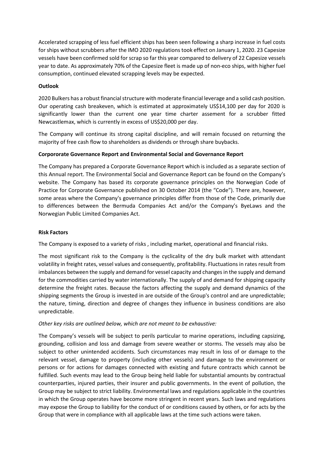Accelerated scrapping of less fuel efficient ships has been seen following a sharp increase in fuel costs for ships without scrubbers after the IMO 2020 regulations took effect on January 1, 2020. 23 Capesize vessels have been confirmed sold for scrap so far this year compared to delivery of 22 Capesize vessels year to date. As approximately 70% of the Capesize fleet is made up of non-eco ships, with higher fuel consumption, continued elevated scrapping levels may be expected.

# **Outlook**

2020 Bulkers has a robust financial structure with moderate financial leverage and a solid cash position. Our operating cash breakeven, which is estimated at approximately US\$14,100 per day for 2020 is significantly lower than the current one year time charter assement for a scrubber fitted Newcastlemax, which is currently in excess of US\$20,000 per day.

The Company will continue its strong capital discipline, and will remain focused on returning the majority of free cash flow to shareholders as dividends or through share buybacks.

# **Corpororate Governance Report and Environmental Social and Governance Report**

The Company has prepared a Corporate Governance Report which is included as a separate section of this Annual report. The Environmental Social and Governance Report can be found on the Company's website. The Company has based its corporate governance principles on the Norwegian Code of Practice for Corporate Governance published on 30 October 2014 (the "Code"). There are, however, some areas where the Company's governance principles differ from those of the Code, primarily due to differences between the Bermuda Companies Act and/or the Company's ByeLaws and the Norwegian Public Limited Companies Act.

# **Risk Factors**

The Company is exposed to a variety of risks , including market, operational and financial risks.

The most significant risk to the Company is the cyclicality of the dry bulk market with attendant volatility in freight rates, vessel values and consequently, profitability. Fluctuations in rates result from imbalances between the supply and demand for vessel capacity and changes in the supply and demand for the commodities carried by water internationally. The supply of and demand for shipping capacity determine the freight rates. Because the factors affecting the supply and demand dynamics of the shipping segments the Group is invested in are outside of the Group's control and are unpredictable; the nature, timing, direction and degree of changes they influence in business conditions are also unpredictable.

# *Other key risks are outlined below, which are not meant to be exhaustive:*

The Company's vessels will be subject to perils particular to marine operations, including capsizing, grounding, collision and loss and damage from severe weather or storms. The vessels may also be subject to other unintended accidents. Such circumstances may result in loss of or damage to the relevant vessel, damage to property (including other vessels) and damage to the environment or persons or for actions for damages connected with existing and future contracts which cannot be fulfilled. Such events may lead to the Group being held liable for substantial amounts by contractual counterparties, injured parties, their insurer and public governments. In the event of pollution, the Group may be subject to strict liability. Environmental laws and regulations applicable in the countries in which the Group operates have become more stringent in recent years. Such laws and regulations may expose the Group to liability for the conduct of or conditions caused by others, or for acts by the Group that were in compliance with all applicable laws at the time such actions were taken.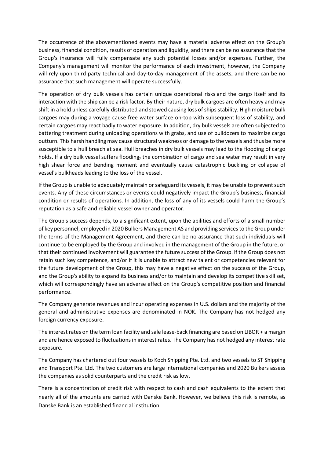The occurrence of the abovementioned events may have a material adverse effect on the Group's business, financial condition, results of operation and liquidity, and there can be no assurance that the Group's insurance will fully compensate any such potential losses and/or expenses. Further, the Company's management will monitor the performance of each investment, however, the Company will rely upon third party technical and day-to-day management of the assets, and there can be no assurance that such management will operate successfully.

The operation of dry bulk vessels has certain unique operational risks and the cargo itself and its interaction with the ship can be a risk factor. By their nature, dry bulk cargoes are often heavy and may shift in a hold unless carefully distributed and stowed causing loss of ships stability. High moisture bulk cargoes may during a voyage cause free water surface on-top with subsequent loss of stability, and certain cargoes may react badly to water exposure. In addition, dry bulk vessels are often subjected to battering treatment during unloading operations with grabs, and use of bulldozers to maximize cargo outturn. This harsh handling may cause structural weakness or damage to the vessels and thus be more susceptible to a hull breach at sea. Hull breaches in dry bulk vessels may lead to the flooding of cargo holds. If a dry bulk vessel suffers flooding, the combination of cargo and sea water may result in very high shear force and bending moment and eventually cause catastrophic buckling or collapse of vessel's bulkheads leading to the loss of the vessel.

If the Group is unable to adequately maintain or safeguard its vessels, it may be unable to prevent such events. Any of these circumstances or events could negatively impact the Group's business, financial condition or results of operations. In addition, the loss of any of its vessels could harm the Group's reputation as a safe and reliable vessel owner and operator.

The Group's success depends, to a significant extent, upon the abilities and efforts of a small number of key personnel, employed in 2020 Bulkers Management AS and providing services to the Group under the terms of the Management Agreement, and there can be no assurance that such individuals will continue to be employed by the Group and involved in the management of the Group in the future, or that their continued involvement will guarantee the future success of the Group. If the Group does not retain such key competence, and/or if it is unable to attract new talent or competencies relevant for the future development of the Group, this may have a negative effect on the success of the Group, and the Group's ability to expand its business and/or to maintain and develop its competitive skill set, which will correspondingly have an adverse effect on the Group's competitive position and financial performance.

The Company generate revenues and incur operating expenses in U.S. dollars and the majority of the general and administrative expenses are denominated in NOK. The Company has not hedged any foreign currency exposure.

The interest rates on the term loan facility and sale lease-back financing are based on LIBOR + a margin and are hence exposed to fluctuations in interest rates. The Company has not hedged any interest rate exposure.

The Company has chartered out four vessels to Koch Shipping Pte. Ltd. and two vessels to ST Shipping and Transport Pte. Ltd. The two customers are large international companies and 2020 Bulkers assess the companies as solid counterparts and the credit risk as low.

There is a concentration of credit risk with respect to cash and cash equivalents to the extent that nearly all of the amounts are carried with Danske Bank. However, we believe this risk is remote, as Danske Bank is an established financial institution.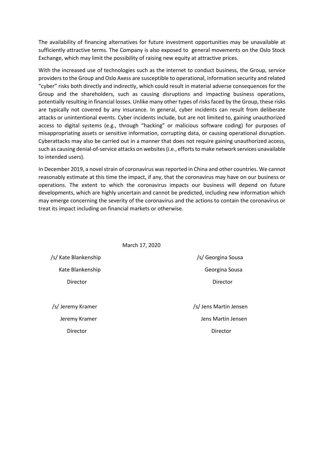The availability of financing alternatives for future investment opportunities may be unavailable at sufficiently attractive terms. The Company is also exposed to general movements on the Oslo Stock Exchange, which may limit the possibility of raising new equity at attractive prices.

With the increased use of technologies such as the internet to conduct business, the Group, service providers to the Group and Oslo Axess are susceptible to operational, information security and related "cyber" risks both directly and indirectly, which could result in material adverse consequences for the Group and the shareholders, such as causing disruptions and impacting business operations, potentially resulting in financial losses. Unlike many other types of risks faced by the Group, these risks are typically not covered by any insurance. In general, cyber incidents can result from deliberate attacks or unintentional events. Cyber incidents include, but are not limited to, gaining unauthorized access to digital systems (e.g., through "hacking" or malicious software coding) for purposes of misappropriating assets or sensitive information, corrupting data, or causing operational disruption. Cyberattacks may also be carried out in a manner that does not require gaining unauthorized access, such as causing denial-of-service attacks on websites (i.e., efforts to make network services unavailable to intended users).

In December 2019, a novel strain of coronavirus was reported in China and other countries. We cannot reasonably estimate at this time the impact, if any, that the coronavirus may have on our business or operations. The extent to which the coronavirus impacts our business will depend on future developments, which are highly uncertain and cannot be predicted, including new information which may emerge concerning the severity of the coronavirus and the actions to contain the coronavirus or treat its impact including on financial markets or otherwise.

|                      | March 17, 2020         |
|----------------------|------------------------|
| /s/ Kate Blankenship | /s/ Georgina Sousa     |
| Kate Blankenship     | Georgina Sousa         |
| Director             | Director               |
|                      |                        |
| /s/ Jeremy Kramer    | /s/ Jens Martin Jensen |
| Jeremy Kramer        | Jens Martin Jensen     |
| Director             | Director               |
|                      |                        |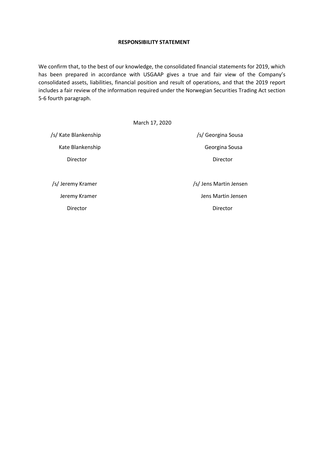# **RESPONSIBILITY STATEMENT**

We confirm that, to the best of our knowledge, the consolidated financial statements for 2019, which has been prepared in accordance with USGAAP gives a true and fair view of the Company's consolidated assets, liabilities, financial position and result of operations, and that the 2019 report includes a fair review of the information required under the Norwegian Securities Trading Act section 5-6 fourth paragraph.

|                      | March 17, 2020         |
|----------------------|------------------------|
| /s/ Kate Blankenship | /s/ Georgina Sousa     |
| Kate Blankenship     | Georgina Sousa         |
| Director             | Director               |
|                      |                        |
| /s/ Jeremy Kramer    | /s/ Jens Martin Jensen |
| Jeremy Kramer        | Jens Martin Jensen     |
| Director             | Director               |
|                      |                        |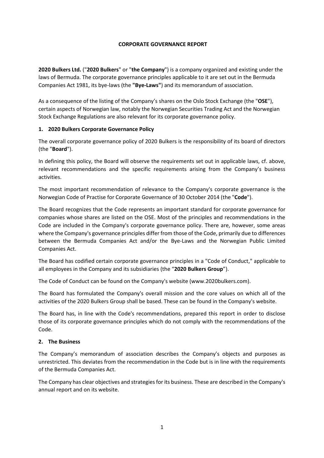# **CORPORATE GOVERNANCE REPORT**

**2020 Bulkers Ltd.** ("**2020 Bulkers**" or "**the Company**") is a company organized and existing under the laws of Bermuda. The corporate governance principles applicable to it are set out in the Bermuda Companies Act 1981, its bye-laws (the **"Bye-Laws"**) and its memorandum of association.

As a consequence of the listing of the Company's shares on the Oslo Stock Exchange (the "**OSE**"), certain aspects of Norwegian law, notably the Norwegian Securities Trading Act and the Norwegian Stock Exchange Regulations are also relevant for its corporate governance policy.

# **1. 2020 Bulkers Corporate Governance Policy**

The overall corporate governance policy of 2020 Bulkers is the responsibility of its board of directors (the "**Board**").

In defining this policy, the Board will observe the requirements set out in applicable laws, cf. above, relevant recommendations and the specific requirements arising from the Company's business activities.

The most important recommendation of relevance to the Company's corporate governance is the Norwegian Code of Practise for Corporate Governance of 30 October 2014 (the "**Code**").

The Board recognizes that the Code represents an important standard for corporate governance for companies whose shares are listed on the OSE. Most of the principles and recommendations in the Code are included in the Company's corporate governance policy. There are, however, some areas where the Company's governance principles differ from those of the Code, primarily due to differences between the Bermuda Companies Act and/or the Bye-Laws and the Norwegian Public Limited Companies Act.

The Board has codified certain corporate governance principles in a "Code of Conduct," applicable to all employees in the Company and its subsidiaries (the "**2020 Bulkers Group**").

The Code of Conduct can be found on the Company's website (www.2020bulkers.com).

The Board has formulated the Company's overall mission and the core values on which all of the activities of the 2020 Bulkers Group shall be based. These can be found in the Company's website.

The Board has, in line with the Code's recommendations, prepared this report in order to disclose those of its corporate governance principles which do not comply with the recommendations of the Code.

# **2. The Business**

The Company's memorandum of association describes the Company's objects and purposes as unrestricted. This deviates from the recommendation in the Code but is in line with the requirements of the Bermuda Companies Act.

The Company has clear objectives and strategies for its business. These are described in the Company's annual report and on its website.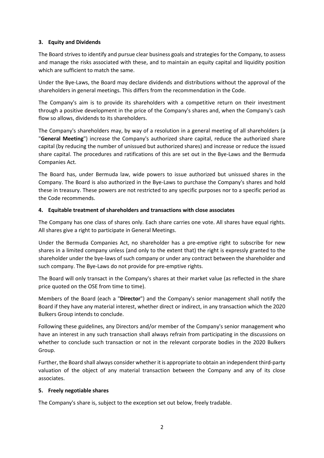# **3. Equity and Dividends**

The Board strives to identify and pursue clear business goals and strategies for the Company, to assess and manage the risks associated with these, and to maintain an equity capital and liquidity position which are sufficient to match the same.

Under the Bye-Laws, the Board may declare dividends and distributions without the approval of the shareholders in general meetings. This differs from the recommendation in the Code.

The Company's aim is to provide its shareholders with a competitive return on their investment through a positive development in the price of the Company's shares and, when the Company's cash flow so allows, dividends to its shareholders.

The Company's shareholders may, by way of a resolution in a general meeting of all shareholders (a "**General Meeting**") increase the Company's authorized share capital, reduce the authorized share capital (by reducing the number of unissued but authorized shares) and increase or reduce the issued share capital. The procedures and ratifications of this are set out in the Bye-Laws and the Bermuda Companies Act.

The Board has, under Bermuda law, wide powers to issue authorized but unissued shares in the Company. The Board is also authorized in the Bye-Laws to purchase the Company's shares and hold these in treasury. These powers are not restricted to any specific purposes nor to a specific period as the Code recommends.

# **4. Equitable treatment of shareholders and transactions with close associates**

The Company has one class of shares only. Each share carries one vote. All shares have equal rights. All shares give a right to participate in General Meetings.

Under the Bermuda Companies Act, no shareholder has a pre-emptive right to subscribe for new shares in a limited company unless (and only to the extent that) the right is expressly granted to the shareholder under the bye-laws of such company or under any contract between the shareholder and such company. The Bye-Laws do not provide for pre-emptive rights.

The Board will only transact in the Company's shares at their market value (as reflected in the share price quoted on the OSE from time to time).

Members of the Board (each a "**Director**") and the Company's senior management shall notify the Board if they have any material interest, whether direct or indirect, in any transaction which the 2020 Bulkers Group intends to conclude.

Following these guidelines, any Directors and/or member of the Company's senior management who have an interest in any such transaction shall always refrain from participating in the discussions on whether to conclude such transaction or not in the relevant corporate bodies in the 2020 Bulkers Group.

Further, the Board shall always consider whether it is appropriate to obtain an independent third-party valuation of the object of any material transaction between the Company and any of its close associates.

# **5. Freely negotiable shares**

The Company's share is, subject to the exception set out below, freely tradable.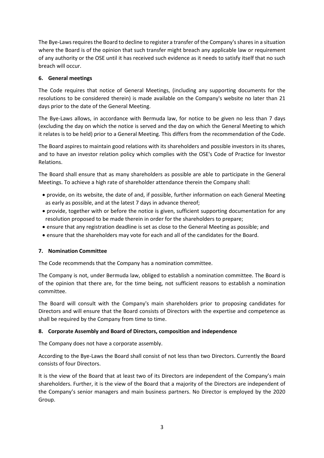The Bye-Laws requires the Board to decline to register a transfer of the Company's sharesin a situation where the Board is of the opinion that such transfer might breach any applicable law or requirement of any authority or the OSE until it has received such evidence as it needs to satisfy itself that no such breach will occur.

# **6. General meetings**

The Code requires that notice of General Meetings, (including any supporting documents for the resolutions to be considered therein) is made available on the Company's website no later than 21 days prior to the date of the General Meeting.

The Bye-Laws allows, in accordance with Bermuda law, for notice to be given no less than 7 days (excluding the day on which the notice is served and the day on which the General Meeting to which it relates is to be held) prior to a General Meeting. This differs from the recommendation of the Code.

The Board aspires to maintain good relations with its shareholders and possible investors in its shares, and to have an investor relation policy which complies with the OSE's Code of Practice for Investor Relations.

The Board shall ensure that as many shareholders as possible are able to participate in the General Meetings. To achieve a high rate of shareholder attendance therein the Company shall:

- provide, on its website, the date of and, if possible, further information on each General Meeting as early as possible, and at the latest 7 days in advance thereof;
- provide, together with or before the notice is given, sufficient supporting documentation for any resolution proposed to be made therein in order for the shareholders to prepare;
- ensure that any registration deadline is set as close to the General Meeting as possible; and
- ensure that the shareholders may vote for each and all of the candidates for the Board.

# **7. Nomination Committee**

The Code recommends that the Company has a nomination committee.

The Company is not, under Bermuda law, obliged to establish a nomination committee. The Board is of the opinion that there are, for the time being, not sufficient reasons to establish a nomination committee.

The Board will consult with the Company's main shareholders prior to proposing candidates for Directors and will ensure that the Board consists of Directors with the expertise and competence as shall be required by the Company from time to time.

# **8. Corporate Assembly and Board of Directors, composition and independence**

The Company does not have a corporate assembly.

According to the Bye-Laws the Board shall consist of not less than two Directors. Currently the Board consists of four Directors.

It is the view of the Board that at least two of its Directors are independent of the Company's main shareholders. Further, it is the view of the Board that a majority of the Directors are independent of the Company's senior managers and main business partners. No Director is employed by the 2020 Group.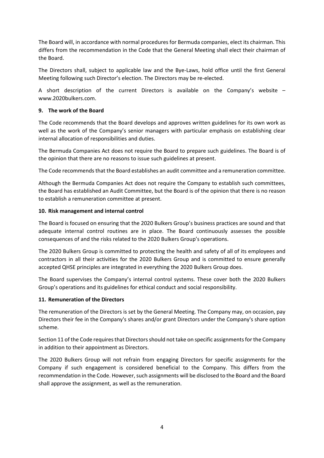The Board will, in accordance with normal procedures for Bermuda companies, elect its chairman. This differs from the recommendation in the Code that the General Meeting shall elect their chairman of the Board.

The Directors shall, subject to applicable law and the Bye-Laws, hold office until the first General Meeting following such Director's election. The Directors may be re-elected.

A short description of the current Directors is available on the Company's website – www.2020bulkers.com.

# **9. The work of the Board**

The Code recommends that the Board develops and approves written guidelines for its own work as well as the work of the Company's senior managers with particular emphasis on establishing clear internal allocation of responsibilities and duties.

The Bermuda Companies Act does not require the Board to prepare such guidelines. The Board is of the opinion that there are no reasons to issue such guidelines at present.

The Code recommends that the Board establishes an audit committee and a remuneration committee.

Although the Bermuda Companies Act does not require the Company to establish such committees, the Board has established an Audit Committee, but the Board is of the opinion that there is no reason to establish a remuneration committee at present.

# **10. Risk management and internal control**

The Board is focused on ensuring that the 2020 Bulkers Group's business practices are sound and that adequate internal control routines are in place. The Board continuously assesses the possible consequences of and the risks related to the 2020 Bulkers Group's operations.

The 2020 Bulkers Group is committed to protecting the health and safety of all of its employees and contractors in all their activities for the 2020 Bulkers Group and is committed to ensure generally accepted QHSE principles are integrated in everything the 2020 Bulkers Group does.

The Board supervises the Company's internal control systems. These cover both the 2020 Bulkers Group's operations and its guidelines for ethical conduct and social responsibility.

# **11. Remuneration of the Directors**

The remuneration of the Directors is set by the General Meeting. The Company may, on occasion, pay Directors their fee in the Company's shares and/or grant Directors under the Company's share option scheme.

Section 11 of the Code requires that Directors should not take on specific assignments for the Company in addition to their appointment as Directors.

The 2020 Bulkers Group will not refrain from engaging Directors for specific assignments for the Company if such engagement is considered beneficial to the Company. This differs from the recommendation in the Code. However, such assignments will be disclosed to the Board and the Board shall approve the assignment, as well as the remuneration.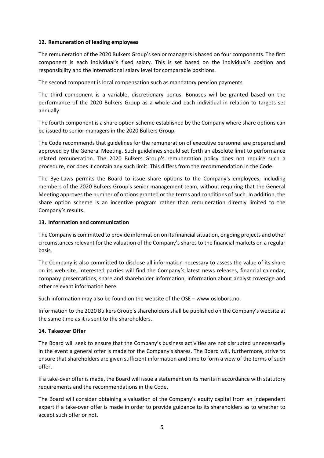# **12. Remuneration of leading employees**

The remuneration of the 2020 Bulkers Group's senior managers is based on four components. The first component is each individual's fixed salary. This is set based on the individual's position and responsibility and the international salary level for comparable positions.

The second component is local compensation such as mandatory pension payments.

The third component is a variable, discretionary bonus. Bonuses will be granted based on the performance of the 2020 Bulkers Group as a whole and each individual in relation to targets set annually.

The fourth component is a share option scheme established by the Company where share options can be issued to senior managers in the 2020 Bulkers Group.

The Code recommends that guidelines for the remuneration of executive personnel are prepared and approved by the General Meeting. Such guidelines should set forth an absolute limit to performance related remuneration. The 2020 Bulkers Group's remuneration policy does not require such a procedure, nor does it contain any such limit. This differs from the recommendation in the Code.

The Bye-Laws permits the Board to issue share options to the Company's employees, including members of the 2020 Bulkers Group's senior management team, without requiring that the General Meeting approves the number of options granted or the terms and conditions of such. In addition, the share option scheme is an incentive program rather than remuneration directly limited to the Company's results.

# **13. Information and communication**

The Company is committed to provide information on its financial situation, ongoing projects and other circumstances relevant for the valuation of the Company's shares to the financial markets on a regular basis.

The Company is also committed to disclose all information necessary to assess the value of its share on its web site. Interested parties will find the Company's latest news releases, financial calendar, company presentations, share and shareholder information, information about analyst coverage and other relevant information here.

Such information may also be found on the website of the OSE – www.oslobors.no.

Information to the 2020 Bulkers Group's shareholders shall be published on the Company's website at the same time as it is sent to the shareholders.

# **14. Takeover Offer**

The Board will seek to ensure that the Company's business activities are not disrupted unnecessarily in the event a general offer is made for the Company's shares. The Board will, furthermore, strive to ensure that shareholders are given sufficient information and time to form a view of the terms of such offer.

If a take-over offer is made, the Board will issue a statement on its merits in accordance with statutory requirements and the recommendations in the Code.

The Board will consider obtaining a valuation of the Company's equity capital from an independent expert if a take-over offer is made in order to provide guidance to its shareholders as to whether to accept such offer or not.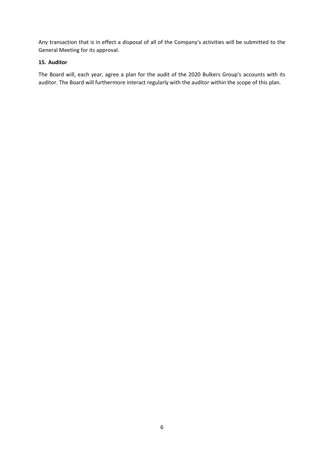Any transaction that is in effect a disposal of all of the Company's activities will be submitted to the General Meeting for its approval.

# **15. Auditor**

The Board will, each year, agree a plan for the audit of the 2020 Bulkers Group's accounts with its auditor. The Board will furthermore interact regularly with the auditor within the scope of this plan.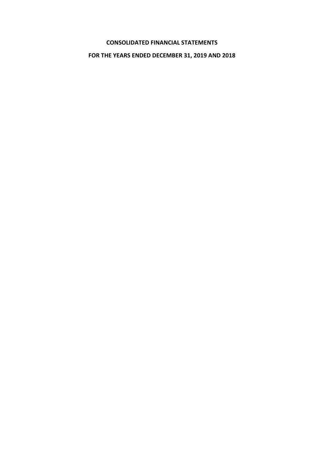# **CONSOLIDATED FINANCIAL STATEMENTS**

# **FOR THE YEARS ENDED DECEMBER 31, 2019 AND 2018**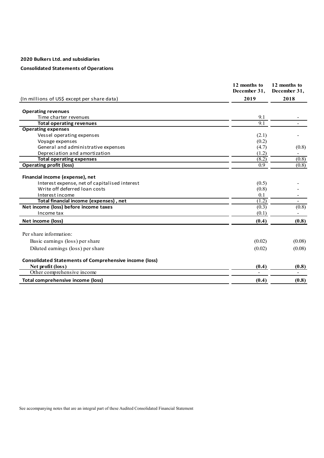# **Consolidated Statements of Operations**

|                                                               | 12 months to<br>December 31, | 12 months to<br>December 31, |
|---------------------------------------------------------------|------------------------------|------------------------------|
|                                                               |                              |                              |
| (In millions of US\$ except per share data)                   | 2019                         | 2018                         |
| <b>Operating revenues</b>                                     |                              |                              |
| Time charter revenues                                         | 9.1                          |                              |
| <b>Total operating revenues</b>                               | 9.1                          |                              |
| <b>Operating expenses</b>                                     |                              |                              |
| Vessel operating expenses                                     | (2.1)                        |                              |
| Voyage expenses                                               | (0.2)                        |                              |
| General and administrative expenses                           | (4.7)                        | (0.8)                        |
| Depreciation and amortization                                 | (1.2)                        |                              |
| <b>Total operating expenses</b>                               | (8.2)                        | (0.8)                        |
| <b>Operating profit (loss)</b>                                | 0.9                          | (0.8)                        |
| Financial income (expense), net                               |                              |                              |
| Interest expense, net of capitalised interest                 | (0.5)                        |                              |
| Write off deferred loan costs                                 | (0.8)                        |                              |
| Interest income                                               | 0.1                          |                              |
| Total financial income (expenses), net                        | (1.2)                        |                              |
| Net income (loss) before income taxes                         | (0.3)                        | (0.8)                        |
| Income tax                                                    | (0.1)                        |                              |
| Net income (loss)                                             | (0.4)                        | (0.8)                        |
| Per share information:                                        |                              |                              |
| Basic earnings (loss) per share                               | (0.02)                       | (0.08)                       |
| Diluted earnings (loss) per share                             | (0.02)                       | (0.08)                       |
|                                                               |                              |                              |
| <b>Consolidated Statements of Comprehensive income (loss)</b> |                              |                              |
| Net profit (loss)                                             | (0.4)                        | (0.8)                        |
| Other comprehensive income                                    |                              |                              |
| <b>Total comprehensive income (loss)</b>                      | (0.4)                        | (0.8)                        |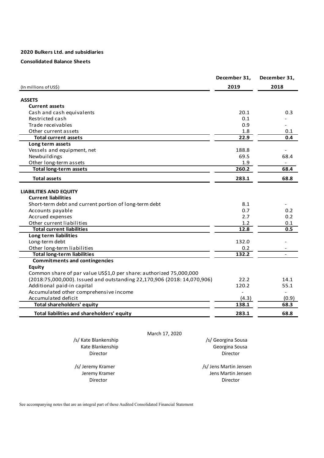# **Consolidated Balance Sheets**

|                                                                         | December 31,       | December 31,             |
|-------------------------------------------------------------------------|--------------------|--------------------------|
| (In millions of US\$)                                                   | 2019               | 2018                     |
| <b>ASSETS</b>                                                           |                    |                          |
| <b>Current assets</b>                                                   |                    |                          |
| Cash and cash equivalents                                               | 20.1               | 0.3                      |
| Restricted cash                                                         | 0.1                |                          |
| Trade receivables                                                       | 0.9                |                          |
| Other current assets                                                    | 1.8                | 0.1                      |
| <b>Total current assets</b>                                             | 22.9               | 0.4                      |
| Long term assets                                                        |                    |                          |
| Vessels and equipment, net                                              | 188.8              |                          |
| Newbuildings                                                            | 69.5               | 68.4                     |
| Other long-term assets                                                  | 1.9                | $\overline{\phantom{a}}$ |
| <b>Total long-term assets</b>                                           | 260.2              | 68.4                     |
| <b>Total assets</b>                                                     | 283.1              | 68.8                     |
|                                                                         |                    |                          |
| <b>LIABILITIES AND EQUITY</b>                                           |                    |                          |
| <b>Current liabilities</b>                                              |                    |                          |
| Short-term debt and current portion of long-term debt                   | 8.1                |                          |
| Accounts payable                                                        | 0.7                | 0.2                      |
| Accrued expenses                                                        | 2.7                | 0.2                      |
| Other current liabilities                                               | 1.2                | 0.1                      |
| <b>Total current liabilities</b>                                        | 12.8               | 0.5                      |
| Long term liabilities                                                   |                    |                          |
| Long-term debt                                                          | 132.0              |                          |
| Other long-term liabilities                                             | 0.2                |                          |
| <b>Total long-term liabilities</b>                                      | 132.2              |                          |
| <b>Commitments and contingencies</b>                                    |                    |                          |
| <b>Equity</b>                                                           |                    |                          |
| Common share of par value US\$1,0 per share: authorized 75,000,000      |                    |                          |
| (2018:75,000,000). Issued and outstanding 22,170,906 (2018: 14,070,906) | 22.2               | 14.1                     |
| Additional paid-in capital                                              | 120.2              | 55.1                     |
| Accumulated other comprehensive income                                  |                    |                          |
| Accumulated deficit                                                     | (4.3)              | (0.9)                    |
| <b>Total shareholders' equity</b>                                       | 138.1              | 68.3                     |
| Total liabilities and shareholders' equity                              | 283.1              | 68.8                     |
|                                                                         |                    |                          |
| March 17, 2020                                                          |                    |                          |
| /s/ Kate Blankenship                                                    | /s/ Georgina Sousa |                          |
| Kate Blankenship                                                        | Georgina Sousa     |                          |

 /s/ Jeremy Kramer /s/ Jens Martin Jensen **Director** Director **Director** Director **Director Director Director Director** 

Emy Kramer Theorem and Tensil and Tensil and Jens Martin Jensen<br>
Director Theorem 2012

See accompanying notes that are an integral part of these Audited Consolidated Financial Statement

**Director** Director **Director** Director **Director Director Director Director**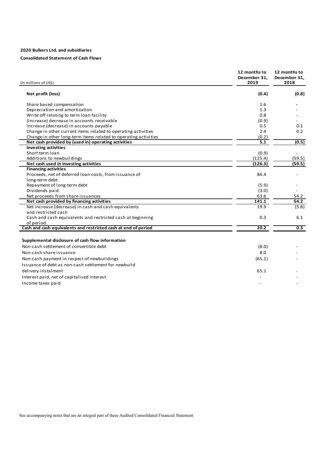# **Consolidated Statement of Cash Flows**

| (In millions of US\$)                                                       | 12 months to<br>December 31.<br>2019 | 12 months to<br>December 31.<br>2018 |
|-----------------------------------------------------------------------------|--------------------------------------|--------------------------------------|
| Net profit (loss)                                                           | (0.4)                                | (0.8)                                |
| Share based compensation                                                    | 1.6                                  |                                      |
| Depreciation and amortization                                               | 1.3                                  |                                      |
| Write off relating to term loan facility                                    | 0.8                                  |                                      |
| (Increase) decrease in accounts receivable                                  | (0.9)                                |                                      |
| Increase (decrease) in accounts payable                                     | 0.5                                  | 0.1                                  |
| Change in other current items related to operating activities               | 2.4                                  | 0.2                                  |
| Change in other long-term items related to operating activities             | (0.2)                                |                                      |
| Net cash provided by (used in) operating activities                         | 5.1                                  | (0.5)                                |
| <b>Investing activities</b>                                                 |                                      |                                      |
| Short term loan                                                             | (0.9)                                | $\overline{\phantom{0}}$             |
| Additions to newbuildings                                                   | (125.4)                              | (59.5)                               |
| Net cash used in investing activities                                       | (126.3)                              | (59.5)                               |
| <b>Financing activities</b>                                                 |                                      |                                      |
| Proceeds, net of deferred loan costs, from issuance of                      | 86.4                                 |                                      |
| long-term debt                                                              |                                      |                                      |
| Repayment of long-term debt                                                 | (5.9)                                |                                      |
| Dividends paid                                                              | (3.0)                                |                                      |
| Net proceeds from share issuances                                           | 63.6                                 | 54.2                                 |
| Net cash provided by financing activities                                   | 141.1                                | 54.2                                 |
| Net increase (decrease) in cash and cash equivalents<br>and restricted cash | 19.9                                 | (5.8)                                |
|                                                                             |                                      |                                      |
| Cash and cash equivalents and restricted cash at beginning                  | 0.3                                  | 6.1                                  |
| of period<br>Cash and cash equivalents and restricted cash at end of period | 20.2                                 | 0.3                                  |
|                                                                             |                                      |                                      |
| Supplemental disclosure of cash flow information                            |                                      |                                      |
| Non-cash settlement of convertible debt                                     | (8.0)                                |                                      |
|                                                                             |                                      |                                      |
| Non-cash share issuance                                                     | 8.0                                  |                                      |
| Non-cash payment in respect of newbuildings                                 | (65.1)                               |                                      |
| Issuance of debt as non-cash settlement for newbuild                        |                                      |                                      |
| delivery instalment                                                         | 65.1                                 |                                      |
| Interest paid, net of capitalised interest                                  |                                      |                                      |
| Income taxes paid                                                           |                                      |                                      |
|                                                                             |                                      |                                      |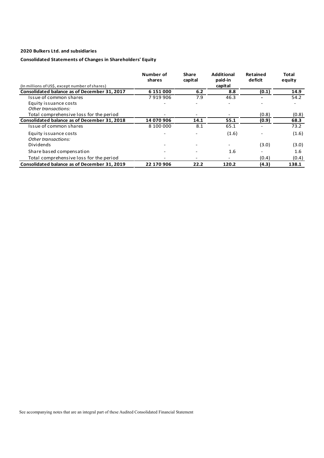# **Consolidated Statements of Changes in Shareholders' Equity**

|                                                | Number of<br>shares | Share<br>capital | <b>Additional</b><br>paid-in | Retained<br>deficit | Total<br>equity |
|------------------------------------------------|---------------------|------------------|------------------------------|---------------------|-----------------|
| (In millions of US\$, except number of shares) |                     |                  | capital                      |                     |                 |
| Consolidated balance as of December 31, 2017   | 6 151 000           | 6.2              | 8.8                          | (0.1)               | 14.9            |
| Issue of common shares                         | 7919906             | 7.9              | 46.3                         |                     | 54.2            |
| Equity issuance costs                          |                     |                  |                              |                     |                 |
| Other transactions:                            |                     |                  |                              |                     |                 |
| Total comprehensive loss for the period        |                     |                  |                              | (0.8)               | (0.8)           |
| Consolidated balance as of December 31, 2018   | 14 070 906          | 14.1             | 55.1                         | (0.9)               | 68.3            |
| Issue of common shares                         | 8 100 000           | 8.1              | 65.1                         |                     | 73.2            |
| Equity issuance costs                          |                     |                  | (1.6)                        |                     | (1.6)           |
| Other transactions:                            |                     |                  |                              |                     |                 |
| Dividends                                      |                     |                  |                              | (3.0)               | (3.0)           |
| Share based compensation                       |                     |                  | 1.6                          | -                   | 1.6             |
| Total comprehensive loss for the period        |                     | ٠                |                              | (0.4)               | (0.4)           |
| Consolidated balance as of December 31, 2019   | 22 170 906          | 22.2             | 120.2                        | (4.3)               | 138.1           |

See accompanying notes that are an integral part of these Audited Consolidated Financial Statement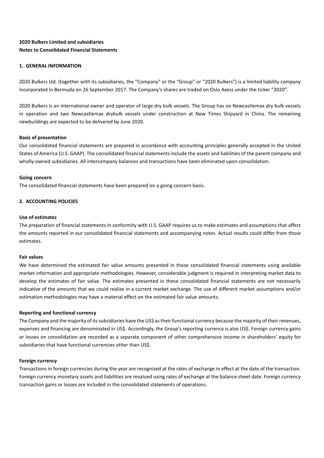# **2020 Bulkers Limited and subsidiaries Notes to Consolidated Financial Statements**

# **1. GENERAL INFORMATION**

2020 Bulkers Ltd. (together with its subsidiaries, the "Company" or the "Group" or "2020 Bulkers") is a limited liability company incorporated in Bermuda on 26 September 2017. The Company's shares are traded on Oslo Axess under the ticker "2020".

2020 Bulkers is an international owner and operator of large dry bulk vessels. The Group has six Newcastlemax dry bulk vessels in operation and two Newcastlemax drybulk vessels under construction at New Times Shipyard in China. The remaining newbuildings are expected to be delivered by June 2020.

### **Basis of presentation**

Our consolidated financial statements are prepared in accordance with accounting principles generally accepted in the United States of America (U.S. GAAP). The consolidated financial statements include the assets and liabilities of the parent company and wholly-owned subsidiaries. All intercompany balances and transactions have been eliminated upon consolidation.

### **Going concern**

The consolidated financial statements have been prepared on a going concern basis.

# **2. ACCOUNTING POLICIES**

# **Use of estimates**

The preparation of financial statements in conformity with U.S. GAAP requires us to make estimates and assumptions that affect the amounts reported in our consolidated financial statements and accompanying notes. Actual results could differ from those estimates.

### **Fair values**

We have determined the estimated fair value amounts presented in these consolidated financial statements using available market information and appropriate methodologies. However, considerable judgment is required in interpreting market data to develop the estimates of fair value. The estimates presented in these consolidated financial statements are not necessarily indicative of the amounts that we could realize in a current market exchange. The use of different market assumptions and/or estimation methodologies may have a material effect on the estimated fair value amounts.

### **Reporting and functional currency**

The Company and the majority of its subsidiaries have the US\$ as their functional currency because the majority of their revenues, expenses and financing are denominated in US\$. Accordingly, the Group's reporting currency is also US\$. Foreign currency gains or losses on consolidation are recorded as a separate component of other comprehensive income in shareholders' equity for subsidiaries that have functional currencies other than US\$.

### **Foreign currency**

Transactions in foreign currencies during the year are recognized at the rates of exchange in effect at the date of the transaction. Foreign currency monetary assets and liabilities are revalued using rates of exchange at the balance sheet date. Foreign currency transaction gains or losses are included in the consolidated statements of operations.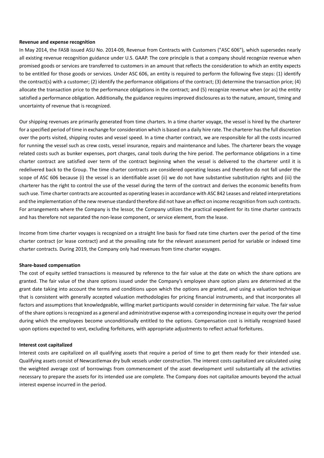### **Revenue and expense recognition**

In May 2014, the FASB issued ASU No. 2014-09, Revenue from Contracts with Customers ("ASC 606"), which supersedes nearly all existing revenue recognition guidance under U.S. GAAP. The core principle is that a company should recognize revenue when promised goods or services are transferred to customers in an amount that reflects the consideration to which an entity expects to be entitled for those goods or services. Under ASC 606, an entity is required to perform the following five steps: (1) identify the contract(s) with a customer; (2) identify the performance obligations of the contract; (3) determine the transaction price; (4) allocate the transaction price to the performance obligations in the contract; and (5) recognize revenue when (or as) the entity satisfied a performance obligation. Additionally, the guidance requires improved disclosures as to the nature, amount, timing and uncertainty of revenue that is recognized.

Our shipping revenues are primarily generated from time charters. In a time charter voyage, the vessel is hired by the charterer for a specified period of time in exchange for consideration which is based on a daily hire rate. The charterer has the full discretion over the ports visited, shipping routes and vessel speed. In a time charter contract, we are responsible for all the costs incurred for running the vessel such as crew costs, vessel insurance, repairs and maintenance and lubes. The charterer bears the voyage related costs such as bunker expenses, port charges, canal tools during the hire period. The performance obligations in a time charter contract are satisfied over term of the contract beginning when the vessel is delivered to the charterer until it is redelivered back to the Group. The time charter contracts are considered operating leases and therefore do not fall under the scope of ASC 606 because (i) the vessel is an identifiable asset (ii) we do not have substantive substitution rights and (iii) the charterer has the right to control the use of the vessel during the term of the contract and derives the economic benefits from such use. Time charter contracts are accounted as operating leases in accordance with ASC 842 Leases and related interpretations and the implementation of the new revenue standard therefore did not have an effect on income recognition from such contracts. For arrangements where the Company is the lessor, the Company utilizes the practical expedient for its time charter contracts and has therefore not separated the non-lease component, or service element, from the lease.

Income from time charter voyages is recognized on a straight line basis for fixed rate time charters over the period of the time charter contract (or lease contract) and at the prevailing rate for the relevant assessment period for variable or indexed time charter contracts. During 2019, the Company only had revenues from time charter voyages.

### **Share-based compensation**

The cost of equity settled transactions is measured by reference to the fair value at the date on which the share options are granted. The fair value of the share options issued under the Company's employee share option plans are determined at the grant date taking into account the terms and conditions upon which the options are granted, and using a valuation technique that is consistent with generally accepted valuation methodologies for pricing financial instruments, and that incorporates all factors and assumptions that knowledgeable, willing market participants would consider in determining fair value. The fair value of the share options is recognized as a general and administrative expense with a corresponding increase in equity over the period during which the employees become unconditionally entitled to the options. Compensation cost is initially recognized based upon options expected to vest, excluding forfeitures, with appropriate adjustments to reflect actual forfeitures.

### **Interest cost capitalized**

Interest costs are capitalized on all qualifying assets that require a period of time to get them ready for their intended use. Qualifying assets consist of Newcastlemax dry bulk vessels under construction. The interest costs capitalized are calculated using the weighted average cost of borrowings from commencement of the asset development until substantially all the activities necessary to prepare the assets for its intended use are complete. The Company does not capitalize amounts beyond the actual interest expense incurred in the period.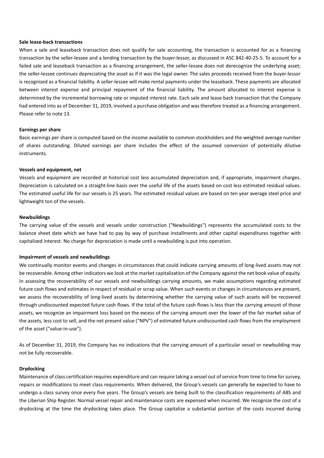### **Sale lease-back transactions**

When a sale and leaseback transaction does not qualify for sale accounting, the transaction is accounted for as a financing transaction by the seller-lessee and a lending transaction by the buyer-lessor, as discussed in ASC 842-40-25-5. To account for a failed sale and leaseback transaction as a financing arrangement, the seller-lessee does not derecognize the underlying asset; the seller-lessee continues depreciating the asset as if it was the legal owner. The sales proceeds received from the buyer-lessor is recognized as a financial liability. A seller-lessee will make rental payments under the leaseback. These payments are allocated between interest expense and principal repayment of the financial liability. The amount allocated to interest expense is determined by the incremental borrowing rate or imputed interest rate. Each sale and lease back transaction that the Company had entered into as of December 31, 2019, involved a purchase obligation and was therefore treated as a financing arrangement. Please refer to note 13.

### **Earnings per share**

Basic earnings per share is computed based on the income available to common stockholders and the weighted average number of shares outstanding. Diluted earnings per share includes the effect of the assumed conversion of potentially dilutive instruments.

### **Vessels and equipment, net**

Vessels and equipment are recorded at historical cost less accumulated depreciation and, if appropriate, impairment charges. Depreciation is calculated on a straight-line basis over the useful life of the assets based on cost less estimated residual values. The estimated useful life for our vessels is 25 years. The estimated residual values are based on ten year average steel price and lightweight ton of the vessels.

### **Newbuildings**

The carrying value of the vessels and vessels under construction ("Newbuildings") represents the accumulated costs to the balance sheet date which we have had to pay by way of purchase installments and other capital expenditures together with capitalized interest. No charge for depreciation is made until a newbuilding is put into operation.

### **Impairment of vessels and newbuildings**

We continually monitor events and changes in circumstances that could indicate carrying amounts of long-lived assets may not be recoverable. Among other indicators we look at the market capitalization of the Company against the net book value of equity. In assessing the recoverability of our vessels and newbuildings carrying amounts, we make assumptions regarding estimated future cash flows and estimates in respect of residual or scrap value. When such events or changes in circumstances are present, we assess the recoverability of long-lived assets by determining whether the carrying value of such assets will be recovered through undiscounted expected future cash flows. If the total of the future cash flows is less than the carrying amount of those assets, we recognize an impairment loss based on the excess of the carrying amount over the lower of the fair market value of the assets, less cost to sell, and the net present value ("NPV") of estimated future undiscounted cash flows from the employment of the asset ("value-in-use").

As of December 31, 2019, the Company has no indications that the carrying amount of a particular vessel or newbuilding may not be fully recoverable.

### **Drydocking**

Maintenance of class certification requires expenditure and can require taking a vessel out of service from time to time for survey, repairs or modifications to meet class requirements. When delivered, the Group's vessels can generally be expected to have to undergo a class survey once every five years. The Group's vessels are being built to the classification requirements of ABS and the Liberian Ship Register. Normal vessel repair and maintenance costs are expensed when incurred. We recognize the cost of a drydocking at the time the drydocking takes place. The Group capitalize a substantial portion of the costs incurred during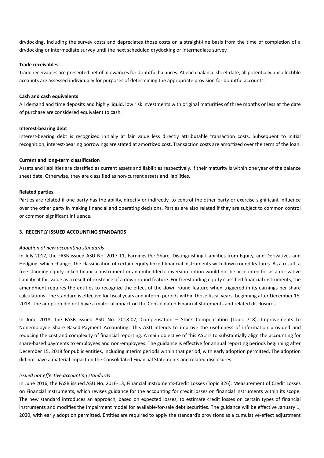drydocking, including the survey costs and depreciates those costs on a straight-line basis from the time of completion of a drydocking or intermediate survey until the next scheduled drydocking or intermediate survey.

### **Trade receivables**

Trade receivables are presented net of allowances for doubtful balances. At each balance sheet date, all potentially uncollectible accounts are assessed individually for purposes of determining the appropriate provision for doubtful accounts.

### **Cash and cash equivalents**

All demand and time deposits and highly liquid, low risk investments with original maturities of three months or less at the date of purchase are considered equivalent to cash.

### **Interest-bearing debt**

Interest-bearing debt is recognized initially at fair value less directly attributable transaction costs. Subsequent to initial recognition, interest-bearing borrowings are stated at amortized cost. Transaction costs are amortized over the term of the loan.

### **Current and long-term classification**

Assets and liabilities are classified as current assets and liabilities respectively, if their maturity is within one year of the balance sheet date. Otherwise, they are classified as non-current assets and liabilities.

### **Related parties**

Parties are related if one party has the ability, directly or indirectly, to control the other party or exercise significant influence over the other party in making financial and operating decisions. Parties are also related if they are subject to common control or common significant influence.

### **3. RECENTLY ISSUED ACCOUNTING STANDARDS**

### *Adoption of new accounting standards*

In July 2017, the FASB issued ASU No. 2017-11, Earnings Per Share, Distinguishing Liabilities from Equity, and Derivatives and Hedging, which changes the classification of certain equity-linked financial instruments with down round features. As a result, a free standing equity-linked financial instrument or an embedded conversion option would not be accounted for as a derivative liability at fair value as a result of existence of a down round feature. For freestanding equity classified financial instruments, the amendment requires the entities to recognize the effect of the down round feature when triggered in its earnings per share calculations. The standard is effective for fiscal years and interim periods within those fiscal years, beginning after December 15, 2018. The adoption did not have a material impact on the Consolidated Financial Statements and related disclosures.

In June 2018, the FASB issued ASU No. 2018-07, Compensation – Stock Compensation (Topic 718): Improvements to Nonemployee Share Based-Payment Accounting. This ASU intends to improve the usefulness of information provided and reducing the cost and complexity of financial reporting. A main objective of this ASU is to substantially align the accounting for share-based payments to employees and non-employees. The guidance is effective for annual reporting periods beginning after December 15, 2018 for public entities, including interim periods within that period, with early adoption permitted. The adoption did not have a material impact on the Consolidated Financial Statements and related disclosures.

### *Issued not effective accounting standards*

In June 2016, the FASB issued ASU No. 2016-13, Financial Instruments-Credit Losses (Topic 326): Measurement of Credit Losses on Financial Instruments, which revises guidance for the accounting for credit losses on financial instruments within its scope. The new standard introduces an approach, based on expected losses, to estimate credit losses on certain types of financial instruments and modifies the impairment model for available-for-sale debt securities. The guidance will be effective January 1, 2020, with early adoption permitted. Entities are required to apply the standard's provisions as a cumulative-effect adjustment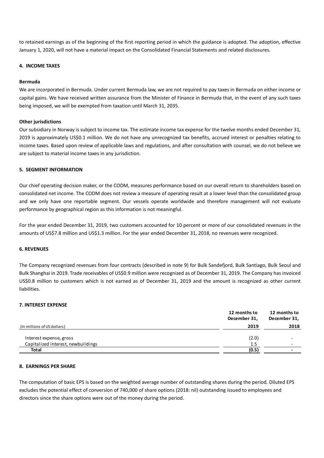to retained earnings as of the beginning of the first reporting period in which the guidance is adopted. The adoption, effective January 1, 2020, will not have a material impact on the Consolidated Financial Statements and related disclosures.

### **4. INCOME TAXES**

### **Bermuda**

We are incorporated in Bermuda. Under current Bermuda law, we are not required to pay taxes in Bermuda on either income or capital gains. We have received written assurance from the Minister of Finance in Bermuda that, in the event of any such taxes being imposed, we will be exempted from taxation until March 31, 2035.

# **Other jurisdictions**

Our subsidiary in Norway is subject to income tax. The estimate income tax expense for the twelve months ended December 31, 2019 is approximately US\$0.1 million. We do not have any unrecognized tax benefits, accrued interest or penalties relating to income taxes. Based upon review of applicable laws and regulations, and after consultation with counsel, we do not believe we are subject to material income taxes in any jurisdiction.

# **5. SEGMENT INFORMATION**

Our chief operating decision maker, or the CODM, measures performance based on our overall return to shareholders based on consolidated net income. The CODM does not review a measure of operating result at a lower level than the consolidated group and we only have one reportable segment. Our vessels operate worldwide and therefore management will not evaluate performance by geographical region as this information is not meaningful.

For the year ended December 31, 2019, two customers accounted for 10 percent or more of our consolidated revenues in the amounts of US\$7.8 million and US\$1.3 million. For the year ended December 31, 2018, no revenues were recognized.

### **6. REVENUES**

The Company recognized revenues from four contracts (described in note 9) for Bulk Sandefjord, Bulk Santiago, Bulk Seoul and Bulk Shanghai in 2019. Trade receivables of US\$0.9 million were recognized as of December 31, 2019. The Company has invoiced US\$0.8 million to customers which is not earned as of December 31, 2019 and the amount is recognized as other current liabilities.

### **7. INTEREST EXPENSE**

|                                    | 12 months to<br>December 31, | 12 months to<br>December 31, |
|------------------------------------|------------------------------|------------------------------|
| (In millions of US dollars)        | 2019                         | 2018                         |
| Interest expense, gross            | (2.0)                        |                              |
| Capitalized interest, newbuildings | 1.5                          |                              |
| Total                              | (0.5)                        |                              |

# **8. EARNINGS PER SHARE**

The computation of basic EPS is based on the weighted average number of outstanding shares during the period. Diluted EPS excludes the potential effect of conversion of 740,000 of share options (2018: nil) outstanding issued to employees and directors since the share options were out of the money during the period.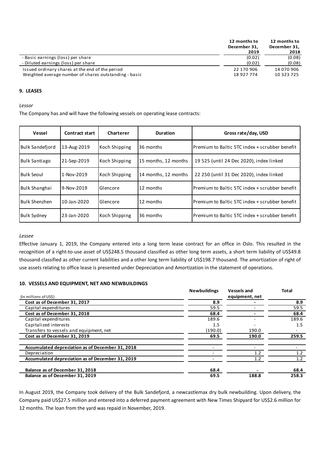|                                                       | 12 months to<br>December 31, | 12 months to<br>December 31, |  |
|-------------------------------------------------------|------------------------------|------------------------------|--|
|                                                       | 2019                         | 2018                         |  |
| - Basic earnings (loss) per share                     | (0.02)                       | (0.08)                       |  |
| - Diluted earnings (loss) per share                   | (0.02)                       | (0.08)                       |  |
| Issued ordinary shares at the end of the period       | 22 170 906                   | 14 070 906                   |  |
| Weighted average number of shares outstanding - basic | 18 927 774                   | 10 323 725                   |  |

### **9. LEASES**

*Lessor*

The Company has and will have the following vessels on operating lease contracts:

| Vessel                 | Contract start | Charterer     | <b>Duration</b>      | Gross rate/day, USD                             |
|------------------------|----------------|---------------|----------------------|-------------------------------------------------|
| <b>Bulk Sandefiord</b> | 13-Aug-2019    | Koch Shipping | 36 months            | IPremium to Baltic 5TC index + scrubber benefit |
| <b>Bulk Santiago</b>   | 21-Sep-2019    | Koch Shipping | 15 months, 12 months | 19 525 (until 24 Dec 2020), index linked        |
| Bulk Seoul             | 1-Nov-2019     | Koch Shipping | 14 months, 12 months | 22 250 (until 31 Dec 2020), index linked        |
| Bulk Shanghai          | 9-Nov-2019     | Glencore      | 12 months            | lPremium to Baltic 5TC index + scrubber benefit |
| Bulk Shenzhen          | 10-Jan-2020    | Glencore      | 12 months            | Premium to Baltic 5TC index + scrubber benefit  |
| <b>Bulk Sydney</b>     | 23-Jan-2020    | Koch Shipping | 36 months            | lPremium to Baltic 5TC index + scrubber benefit |

### *Lessee*

Effective January 1, 2019, the Company entered into a long term lease contract for an office in Oslo. This resulted in the recognition of a right-to-use asset of US\$248.5 thousand classified as other long term assets, a short term liability of US\$49.8 thousand classified as other current liabilities and a other long term liability of US\$198.7 thousand. The amortization of right of use assets relating to office lease is presented under Depreciation and Amortization in the statement of operations.

### **10. VESSELS AND EQUIPMENT, NET AND NEWBUILDINGS**

|                                                  | <b>Newbuildings</b> | <b>Vessels and</b> | <b>Total</b> |
|--------------------------------------------------|---------------------|--------------------|--------------|
| (In millions of US\$)                            |                     | equipment, net     |              |
| Cost as of December 31, 2017                     | 8.9                 |                    | 8.9          |
| Capital expenditures                             | 59.5                |                    | 59.5         |
| Cost as of December 31, 2018                     | 68.4                |                    | 68.4         |
| Capital expenditures                             | 189.6               |                    | 189.6        |
| Capitalized interests                            | 1.5                 |                    | 1.5          |
| Transfers to vessels and equipment, net          | (190.0)             | 190.0              |              |
| Cost as of December 31, 2019                     | 69.5                | 190.0              | 259.5        |
| Accumulated depreciation as of December 31, 2018 |                     |                    |              |
| Depreciation                                     |                     | 1.2                | 1.2          |
| Accumulated depreciation as of December 31, 2019 |                     | 1.2                | 1.2          |
| Balance as of December 31, 2018                  | 68.4                |                    | 68.4         |
| Balance as of December 31, 2019                  | 69.5                | 188.8              | 258.3        |

In August 2019, the Company took delivery of the Bulk Sandefjord, a newcastlemax dry bulk newbuilding. Upon delivery, the Company paid US\$27.5 million and entered into a deferred payment agreement with New Times Shipyard for US\$2.6 million for 12 months. The loan from the yard was repaid in November, 2019.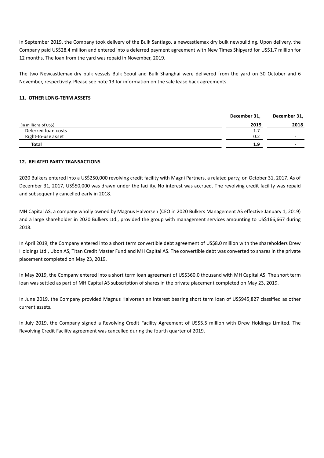In September 2019, the Company took delivery of the Bulk Santiago, a newcastlemax dry bulk newbuilding. Upon delivery, the Company paid US\$28.4 million and entered into a deferred payment agreement with New Times Shipyard for US\$1.7 million for 12 months. The loan from the yard was repaid in November, 2019.

The two Newcastlemax dry bulk vessels Bulk Seoul and Bulk Shanghai were delivered from the yard on 30 October and 6 November, respectively. Please see note 13 for information on the sale lease back agreements.

# **11. OTHER LONG-TERM ASSETS**

|                       | December 31, | December 31,             |
|-----------------------|--------------|--------------------------|
| (In millions of US\$) | 2019         | 2018                     |
| Deferred Ioan costs   | 1.7          | $\overline{\phantom{0}}$ |
| Right-to-use asset    | 0.2          | $\overline{\phantom{0}}$ |
| <b>Total</b>          | 1.9          | $\overline{\phantom{0}}$ |

### **12. RELATED PARTY TRANSACTIONS**

2020 Bulkers entered into a US\$250,000 revolving credit facility with Magni Partners, a related party, on October 31, 2017. As of December 31, 2017, US\$50,000 was drawn under the facility. No interest was accrued. The revolving credit facility was repaid and subsequently cancelled early in 2018.

MH Capital AS, a company wholly owned by Magnus Halvorsen (CEO in 2020 Bulkers Management AS effective January 1, 2019) and a large shareholder in 2020 Bulkers Ltd., provided the group with management services amounting to US\$166,667 during 2018.

In April 2019, the Company entered into a short term convertible debt agreement of US\$8.0 million with the shareholders Drew Holdings Ltd., Ubon AS, Titan Credit Master Fund and MH Capital AS. The convertible debt was converted to shares in the private placement completed on May 23, 2019.

In May 2019, the Company entered into a short term loan agreement of US\$360.0 thousand with MH Capital AS. The short term loan was settled as part of MH Capital AS subscription of shares in the private placement completed on May 23, 2019.

In June 2019, the Company provided Magnus Halvorsen an interest bearing short term loan of US\$945,827 classified as other current assets.

In July 2019, the Company signed a Revolving Credit Facility Agreement of US\$5.5 million with Drew Holdings Limited. The Revolving Credit Facility agreement was cancelled during the fourth quarter of 2019.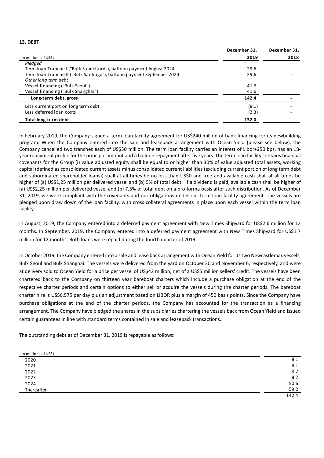### **13. DEBT**

|                                                                        | December 31, | December 31, |
|------------------------------------------------------------------------|--------------|--------------|
| (In millions of US\$)                                                  | 2019         | 2018         |
| Pledaed                                                                |              |              |
| Term Ioan Tranche I ("Bulk Sandefjord"), balloon payment August 2024   | 29.6         |              |
| Term Ioan Tranche II ("Bulk Santiago"), balloon payment September 2024 | 29.6         |              |
| Other long term debt                                                   |              |              |
| Vessel financing ("Bulk Seoul")                                        | 41.6         |              |
| Vessel financing ("Bulk Shanghai")                                     | 41.6         |              |
| Long-term debt, gross                                                  | 142.4        |              |
| Less current portion long term debt                                    | (8.1)        |              |
| Less deferred loan costs                                               | (2.3)        |              |
| <b>Total long-term debt</b>                                            | 132.0        |              |

In February 2019, the Company signed a term loan facility agreement for US\$240 million of bank financing for its newbuilding program. When the Company entered into the sale and leaseback arrangement with Ocean Yield (please see below), the Company cancelled two tranches each of US\$30 million. The term loan facility carries an interest of Libor+250 bps, has an 18 year repayment profile for the principle amount and a balloon repayment after five years. The term loan facility contains financial covenants for the Group (i) value adjusted equity shall be equal to or higher than 30% of value adjusted total assets, working capital (defined as consolidated current assets minus consolidated current liabilities (excluding current portion of long term debt and subordinated shareholder loans)) shall at all times be no less than US\$0 and free and available cash shall at all times be higher of (a) US\$1,25 million per delivered vessel and (b) 5% of total debt. If a dividend is paid, available cash shall be higher of (a) US\$2,25 million per delivered vessel and (b) 7,5% of total debt on a pro-forma basis after such distribution. As of December 31, 2019, we were compliant with the covenants and our obligations under our term loan facility agreement. The vessels are pledged upon draw down of the loan facility, with cross collateral agreements in place upon each vessel within the term loan facility.

In August, 2019, the Company entered into a deferred payment agreement with New Times Shipyard for US\$2.6 million for 12 months. In September, 2019, the Company entered into a deferred payment agreement with New Times Shipyard for US\$1.7 million for 12 months. Both loans were repaid during the fourth quarter of 2019.

In October 2019, the Company entered into a sale and lease back arrangement with Ocean Yield for its two Newcastlemax vessels, Bulk Seoul and Bulk Shanghai. The vessels were delivered from the yard on October 30 and November 6, respectively, and were at delivery sold to Ocean Yield for a price per vessel of US\$42 million, net of a US\$5 million sellers' credit. The vessels have been chartered back to the Company on thirteen year bareboat charters which include a purchase obligation at the end of the respective charter periods and certain options to either sell or acquire the vessels during the charter periods. The bareboat charter hire is US\$6,575 per day plus an adjustment based on LIBOR plus a margin of 450 basis points. Since the Company have purchase obligations at the end of the charter periods, the Company has accounted for the transaction as a financing arrangement. The Company have pledged the shares in the subsidiaries chartering the vessels back from Ocean Yield and issued certain guarantees in line with standard terms contained in sale and leaseback transactions.

The outstanding debt as of December 31, 2019 is repayable as follows:

| (In millions of US\$) |       |
|-----------------------|-------|
| 2020                  | 8.1   |
| 2021                  | 8.1   |
| 2022                  | 8.2   |
| 2023                  | 8.2   |
|                       | 50.6  |
| 2024<br>Thereafter    | 59.2  |
|                       | 142.4 |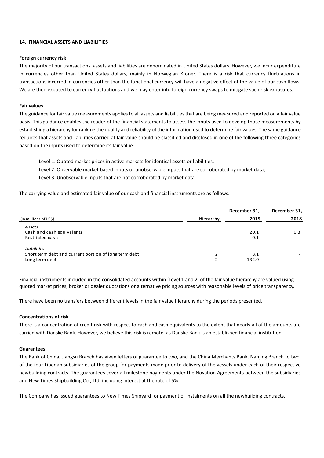### **14. FINANCIAL ASSETS AND LIABILITIES**

### **Foreign currency risk**

The majority of our transactions, assets and liabilities are denominated in United States dollars. However, we incur expenditure in currencies other than United States dollars, mainly in Norwegian Kroner. There is a risk that currency fluctuations in transactions incurred in currencies other than the functional currency will have a negative effect of the value of our cash flows. We are then exposed to currency fluctuations and we may enter into foreign currency swaps to mitigate such risk exposures.

### **Fair values**

The guidance for fair value measurements applies to all assets and liabilities that are being measured and reported on a fair value basis. This guidance enables the reader of the financial statements to assess the inputs used to develop those measurements by establishing a hierarchy for ranking the quality and reliability of the information used to determine fair values. The same guidance requires that assets and liabilities carried at fair value should be classified and disclosed in one of the following three categories based on the inputs used to determine its fair value:

Level 1: Quoted market prices in active markets for identical assets or liabilities;

Level 2: Observable market based inputs or unobservable inputs that are corroborated by market data;

Level 3: Unobservable inputs that are not corroborated by market data.

The carrying value and estimated fair value of our cash and financial instruments are as follows:

|                                                       |           | December 31, | December 31, |
|-------------------------------------------------------|-----------|--------------|--------------|
| (In millions of US\$)                                 | Hierarchy | 2019         | 2018         |
| Assets                                                |           |              |              |
| Cash and cash equivalents                             |           | 20.1         | 0.3          |
| Restricted cash                                       |           | 0.1          | ۰            |
| Liabilities                                           |           |              |              |
| Short term debt and current portion of long term debt |           | 8.1          |              |
| Long term debt                                        |           | 132.0        | ٠.           |

Financial instruments included in the consolidated accounts within 'Level 1 and 2' of the fair value hierarchy are valued using quoted market prices, broker or dealer quotations or alternative pricing sources with reasonable levels of price transparency.

There have been no transfers between different levels in the fair value hierarchy during the periods presented.

### **Concentrations of risk**

There is a concentration of credit risk with respect to cash and cash equivalents to the extent that nearly all of the amounts are carried with Danske Bank. However, we believe this risk is remote, as Danske Bank is an established financial institution.

### **Guarantees**

The Bank of China, Jiangsu Branch has given letters of guarantee to two, and the China Merchants Bank, Nanjing Branch to two, of the four Liberian subsidiaries of the group for payments made prior to delivery of the vessels under each of their respective newbuilding contracts. The guarantees cover all milestone payments under the Novation Agreements between the subsidiaries and New Times Shipbuilding Co., Ltd. including interest at the rate of 5%.

The Company has issued guarantees to New Times Shipyard for payment of instalments on all the newbuilding contracts.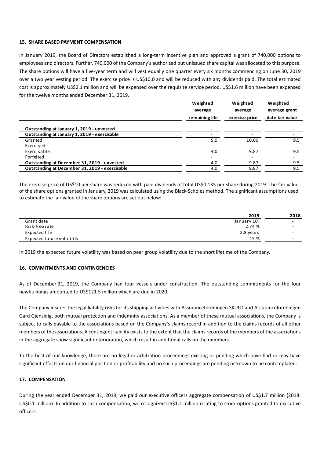### **15. SHARE BASED PAYMENT COMPENSATION**

In January 2019, the Board of Directors established a long-term incentive plan and approved a grant of 740,000 options to employees and directors. Further, 740,000 of the Company's authorized but unissued share capital was allocated to this purpose. The share options will have a five-year term and will vest equally one quarter every six months commencing on June 30, 2019 over a two year vesting period. The exercise price is US\$10.0 and will be reduced with any dividends paid. The total estimated cost is approximately US\$2.1 million and will be expensed over the requisite service period. US\$1.6 million have been expensed for the twelve months ended December 31, 2019.

|                                                | Weighted<br>average<br>remaining life | Weighted<br>average<br>exercise price | Weighted<br>average grant<br>date fair value |
|------------------------------------------------|---------------------------------------|---------------------------------------|----------------------------------------------|
| Outstanding at January 1, 2019 - unvested      |                                       |                                       |                                              |
| Outstanding at January 1, 2019 - exercisable   |                                       |                                       |                                              |
| Granted                                        | 5.0                                   | 10.00                                 | 9.5                                          |
| Exercised                                      |                                       | -                                     | -                                            |
| Exercisable                                    | 4.0                                   | 9.87                                  | 9.5                                          |
| <b>Forfeited</b>                               |                                       |                                       | $\overline{\phantom{a}}$                     |
| Outstanding at December 31, 2019 - unvested    | 4.0                                   | 9.87                                  | 9.5                                          |
| Outstanding at December 31, 2019 - exercisable | 4.0                                   | 9.87                                  | 9.5                                          |

The exercise price of US\$10 per share was reduced with paid dividends of total US\$0.135 per share during 2019. The fair value of the share options granted in January, 2019 was calculated using the Black-Scholes method. The significant assumptions used to estimate the fair value of the share options are set out below:

|                            | 2019       | 2018                     |
|----------------------------|------------|--------------------------|
| Grant date                 | January 10 | $\sim$                   |
| Risk-free rate             | 2.74 %     | $\overline{\phantom{0}}$ |
| Expected life              | 2,8 years  | $\overline{\phantom{0}}$ |
| Expected future volatility | 45 %       | $\overline{\phantom{0}}$ |

In 2019 the expected future volatility was based on peer group volatility due to the short lifetime of the Company.

### **16. COMMITMENTS AND CONTINGENCIES**

As of December 31, 2019, the Company had four vessels under construction. The outstanding commitments for the four newbuildings amounted to US\$121.5 million which are due in 2020.

The Company insures the legal liability risks for its shipping activities with Assuranceforeningen SKULD and Assuranceforeningen Gard Gjensidig, both mutual protection and indemnity associations. As a member of these mutual associations, the Company is subject to calls payable to the associations based on the Company's claims record in addition to the claims records of all other members of the associations. A contingent liability exists to the extent that the claims records of the members of the associations in the aggregate show significant deterioration, which result in additional calls on the members.

To the best of our knowledge, there are no legal or arbitration proceedings existing or pending which have had or may have significant effects on our financial position or profitability and no such proceedings are pending or known to be contemplated.

### **17. COMPENSATION**

During the year ended December 31, 2019, we paid our executive officers aggregate compensation of US\$1.7 million (2018: US\$0.1 million). In addition to cash compensation, we recognized US\$1.2 million relating to stock options granted to executive officers.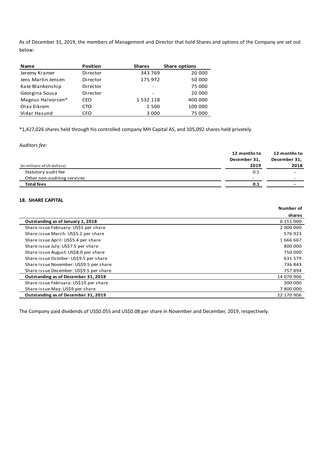As of December 31, 2019, the members of Management and Director that hold Shares and options of the Company are set out below:

| <b>Name</b>        | <b>Position</b> | <b>Shares</b> | <b>Share options</b> |
|--------------------|-----------------|---------------|----------------------|
| Jeremy Kramer      | Director        | 343 769       | 20 000               |
| Jens Martin Jensen | Director        | 175 972       | 50 000               |
| Kate Blankenship   | Director        |               | 75 000               |
| Georgina Sousa     | Director        |               | 20 000               |
| Magnus Halvorsen*  | CEO             | 1532118       | 400 000              |
| Olav Eikrem        | <b>CTO</b>      | 1500          | 100 000              |
| Vidar Hasund       | <b>CFO</b>      | 3 0 0 0       | 75 000               |

\*1,427,026 shares held through his controlled company MH Capital AS, and 105,092 shares held privately.

*Auditors fee:*

|                             | 12 months to | 12 months to |
|-----------------------------|--------------|--------------|
|                             | December 31, | December 31, |
| (In millions of US dollars) | 2019         | 2018         |
| Statutory audit fee         | 0.1          |              |
| Other non-auditing services | -            |              |
| <b>Total fees</b>           | 0.1          |              |
|                             |              |              |

# **18. SHARE CAPITAL**

|                                         | Number of  |
|-----------------------------------------|------------|
|                                         | shares     |
| Outstanding as of January 1, 2018       | 6 151 000  |
| Share issue February: US\$5 per share   | 2 000 000  |
| Share issue March: US\$5.2 per share    | 576923     |
| Share issue April: US\$5.4 per share    | 1666667    |
| Share issue July: US\$7.5 per share     | 800 000    |
| Share issue August: US\$8.0 per share   | 750 000    |
| Share issue October: US\$9.5 per share  | 631 579    |
| Share issue November: US\$9.5 per share | 736843     |
| Share issue December: US\$9.5 per share | 757894     |
| Outstanding as of December 31, 2018     | 14 070 906 |
| Share issue February: US\$10 per share  | 300 000    |
| Share issue May: US\$9 per share        | 7800000    |
| Outstanding as of December 31, 2019     | 22 170 906 |

The Company paid dividends of US\$0.055 and US\$0.08 per share in November and December, 2019, respectively.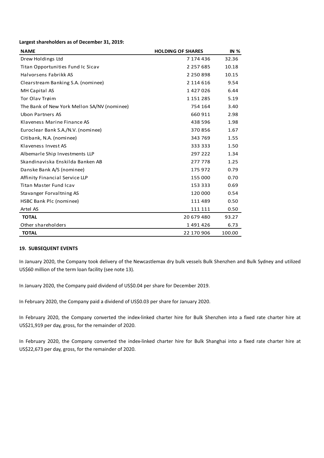### **Largest shareholders as of December 31, 2019:**

| <b>NAME</b>                                 | <b>HOLDING OF SHARES</b> | <b>IN %</b> |
|---------------------------------------------|--------------------------|-------------|
| Drew Holdings Ltd                           | 7 174 436                | 32.36       |
| Titan Opportunities Fund Ic Sicav           | 2 2 5 7 6 8 5            | 10.18       |
| Halvorsens Fabrikk AS                       | 2 2 5 0 8 9 8            | 10.15       |
| Clearstream Banking S.A. (nominee)          | 2 114 616                | 9.54        |
| MH Capital AS                               | 1427026                  | 6.44        |
| Tor Olav Trøim                              | 1 151 285                | 5.19        |
| The Bank of New York Mellon SA/NV (nominee) | 754 164                  | 3.40        |
| <b>Ubon Partners AS</b>                     | 660 911                  | 2.98        |
| Klaveness Marine Finance AS                 | 438 596                  | 1.98        |
| Euroclear Bank S.A./N.V. (nominee)          | 370856                   | 1.67        |
| Citibank, N.A. (nominee)                    | 343 769                  | 1.55        |
| Klaveness Invest AS                         | 333 333                  | 1.50        |
| Albemarle Ship Investments LLP              | 297 222                  | 1.34        |
| Skandinaviska Enskilda Banken AB            | 277 778                  | 1.25        |
| Danske Bank A/S (nominee)                   | 175 972                  | 0.79        |
| Affinity Financial Service LLP              | 155 000                  | 0.70        |
| <b>Titan Master Fund Icav</b>               | 153 333                  | 0.69        |
| Stavanger Forvaltning AS                    | 120 000                  | 0.54        |
| HSBC Bank Plc (nominee)                     | 111 489                  | 0.50        |
| Artel AS                                    | 111 111                  | 0.50        |
| <b>TOTAL</b>                                | 20 679 480               | 93.27       |
| Other shareholders                          | 1491426                  | 6.73        |
| <b>TOTAL</b>                                | 22 170 906               | 100.00      |

# **19. SUBSEQUENT EVENTS**

In January 2020, the Company took delivery of the Newcastlemax dry bulk vessels Bulk Shenzhen and Bulk Sydney and utilized US\$60 million of the term loan facility (see note 13).

In January 2020, the Company paid dividend of US\$0.04 per share for December 2019.

In February 2020, the Company paid a dividend of US\$0.03 per share for January 2020.

In February 2020, the Company converted the index-linked charter hire for Bulk Shenzhen into a fixed rate charter hire at US\$21,919 per day, gross, for the remainder of 2020.

In February 2020, the Company converted the index-linked charter hire for Bulk Shanghai into a fixed rate charter hire at US\$22,673 per day, gross, for the remainder of 2020.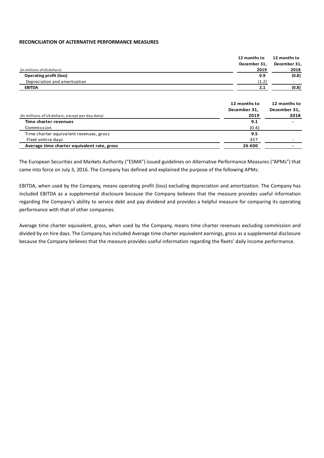### **RECONCILIATION OF ALTERNATIVE PERFORMANCE MEASURES**

|                                                  | 12 months to                 | 12 months to                 |
|--------------------------------------------------|------------------------------|------------------------------|
|                                                  | December 31,                 | December 31,                 |
| (In millions of US dollars)                      | 2019                         | 2018                         |
| <b>Operating profit (loss)</b>                   | 0.9                          | (0.8)                        |
| Depreciation and amortization                    | (1.2)                        |                              |
| <b>EBITDA</b>                                    | 2.1                          | (0.8)                        |
|                                                  | 12 months to<br>December 31, | 12 months to<br>December 31, |
| (In millions of US dollars, except per day data) | 2019                         | 2018                         |
| Time charter revenues                            | 9.1                          |                              |
| Commission                                       | (0.4)                        |                              |
| Time charter equivalent revenues, gross          | 9.5                          |                              |

The European Securities and Markets Authority ("ESMA") issued guidelines on Alternative Performance Measures ("APMs") that came into force on July 3, 2016. The Company has defined and explained the purpose of the following APMs:

Fleet onhire days 357 and 200 and 200 and 200 and 200 and 200 and 200 and 200 and 200 and 200 and 200 and 200 and 200 and 200 and 200 and 200 and 200 and 200 and 200 and 200 and 200 and 200 and 200 and 200 and 200 and 200 **Average time charter equivalent rate, gross 26 600 -**

EBITDA, when used by the Company, means operating profit (loss) excluding depreciation and amortization. The Company has included EBITDA as a supplemental disclosure because the Company believes that the measure provides useful information regarding the Company's ability to service debt and pay dividend and provides a helpful measure for comparing its operating performance with that of other companies.

Average time charter equivalent, gross, when used by the Company, means time charter revenues excluding commission and divided by on hire days. The Company has included Average time charter equivalent earnings, gross as a supplemental disclosure because the Company believes that the measure provides useful information regarding the fleets' daily income performance.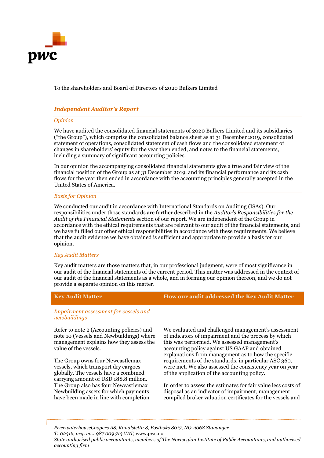

To the shareholders and Board of Directors of 2020 Bulkers Limited

# Independent Auditor's Report

# Opinion

We have audited the consolidated financial statements of 2020 Bulkers Limited and its subsidiaries ("the Group"), which comprise the consolidated balance sheet as at 31 December 2019, consolidated statement of operations, consolidated statement of cash flows and the consolidated statement of changes in shareholders' equity for the year then ended, and notes to the financial statements, including a summary of significant accounting policies.

In our opinion the accompanying consolidated financial statements give a true and fair view of the financial position of the Group as at 31 December 2019, and its financial performance and its cash flows for the year then ended in accordance with the accounting principles generally accepted in the United States of America.

### Basis for Opinion

We conducted our audit in accordance with International Standards on Auditing (ISAs). Our responsibilities under those standards are further described in the Auditor's Responsibilities for the Audit of the Financial Statements section of our report. We are independent of the Group in accordance with the ethical requirements that are relevant to our audit of the financial statements, and we have fulfilled our other ethical responsibilities in accordance with these requirements. We believe that the audit evidence we have obtained is sufficient and appropriate to provide a basis for our opinion.

### Key Audit Matters

Key audit matters are those matters that, in our professional judgment, were of most significance in our audit of the financial statements of the current period. This matter was addressed in the context of our audit of the financial statements as a whole, and in forming our opinion thereon, and we do not provide a separate opinion on this matter.

# Key Audit Matter **How our audit addressed the Key Audit Matter**

Impairment assessment for vessels and newbuildings

Refer to note 2 (Accounting policies) and note 10 (Vessels and Newbuildings) where management explains how they assess the value of the vessels.

The Group owns four Newcastlemax vessels, which transport dry cargoes globally. The vessels have a combined carrying amount of USD 188.8 million. The Group also has four Newcastlemax Newbuilding assets for which payments have been made in line with completion

We evaluated and challenged management's assessment of indicators of impairment and the process by which this was performed. We assessed management's accounting policy against US GAAP and obtained explanations from management as to how the specific requirements of the standards, in particular ASC 360, were met. We also assessed the consistency year on year of the application of the accounting policy.

In order to assess the estimates for fair value less costs of disposal as an indicator of impairment, management compiled broker valuation certificates for the vessels and

PricewaterhouseCoopers AS, Kanalsletta 8, Postboks 8017, NO-4068 Stavanger T: 02316, org. no.: 987 009 713 VAT, www.pwc.no State authorised public accountants, members of The Norwegian Institute of Public Accountants, and authorised accounting firm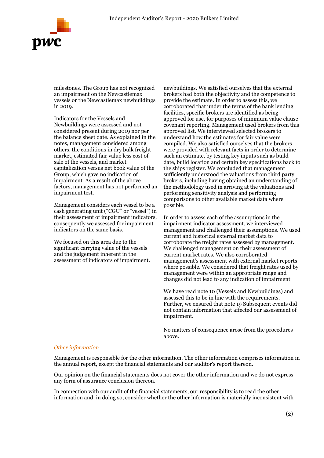

milestones. The Group has not recognized an impairment on the Newcastlemax vessels or the Newcastlemax newbuildings in 2019.

Indicators for the Vessels and Newbuildings were assessed and not considered present during 2019 nor per the balance sheet date. As explained in the notes, management considered among others, the conditions in dry bulk freight market, estimated fair value less cost of sale of the vessels, and market capitalization versus net book value of the Group, which gave no indication of impairment. As a result of the above factors, management has not performed an impairment test.

Management considers each vessel to be a cash generating unit ("CGU" or "vessel") in their assessment of impairment indicators, consequently we assessed for impairment indicators on the same basis.

We focused on this area due to the significant carrying value of the vessels and the judgement inherent in the assessment of indicators of impairment.

newbuildings. We satisfied ourselves that the external brokers had both the objectivity and the competence to provide the estimate. In order to assess this, we corroborated that under the terms of the bank lending facilities, specific brokers are identified as being approved for use, for purposes of minimum value clause covenant reporting. Management used brokers from this approved list. We interviewed selected brokers to understand how the estimates for fair value were compiled. We also satisfied ourselves that the brokers were provided with relevant facts in order to determine such an estimate, by testing key inputs such as build date, build location and certain key specifications back to the ships register. We concluded that management sufficiently understood the valuations from third party brokers, including having obtained an understanding of the methodology used in arriving at the valuations and performing sensitivity analysis and performing comparisons to other available market data where possible.

In order to assess each of the assumptions in the impairment indicator assessment, we interviewed management and challenged their assumptions. We used current and historical external market data to corroborate the freight rates assessed by management. We challenged management on their assessment of current market rates. We also corroborated management's assessment with external market reports where possible. We considered that freight rates used by management were within an appropriate range and changes did not lead to any indication of impairment

We have read note 10 (Vessels and Newbuildings) and assessed this to be in line with the requirements. Further, we ensured that note 19 Subsequent events did not contain information that affected our assessment of impairment.

No matters of consequence arose from the procedures above.

### Other information

Management is responsible for the other information. The other information comprises information in the annual report, except the financial statements and our auditor's report thereon.

Our opinion on the financial statements does not cover the other information and we do not express any form of assurance conclusion thereon.

In connection with our audit of the financial statements, our responsibility is to read the other information and, in doing so, consider whether the other information is materially inconsistent with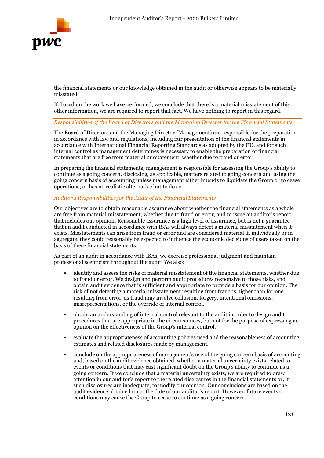

the financial statements or our knowledge obtained in the audit or otherwise appears to be materially misstated.

If, based on the work we have performed, we conclude that there is a material misstatement of this other information, we are required to report that fact. We have nothing to report in this regard.

Responsibilities of the Board of Directors and the Managing Director for the Financial Statements

The Board of Directors and the Managing Director (Management) are responsible for the preparation in accordance with law and regulations, including fair presentation of the financial statements in accordance with International Financial Reporting Standards as adopted by the EU, and for such internal control as management determines is necessary to enable the preparation of financial statements that are free from material misstatement, whether due to fraud or error.

In preparing the financial statements, management is responsible for assessing the Group's ability to continue as a going concern, disclosing, as applicable, matters related to going concern and using the going concern basis of accounting unless management either intends to liquidate the Group or to cease operations, or has no realistic alternative but to do so.

Auditor's Responsibilities for the Audit of the Financial Statements

Our objectives are to obtain reasonable assurance about whether the financial statements as a whole are free from material misstatement, whether due to fraud or error, and to issue an auditor's report that includes our opinion. Reasonable assurance is a high level of assurance, but is not a guarantee that an audit conducted in accordance with ISAs will always detect a material misstatement when it exists. Misstatements can arise from fraud or error and are considered material if, individually or in aggregate, they could reasonably be expected to influence the economic decisions of users taken on the basis of these financial statements.

As part of an audit in accordance with ISAs, we exercise professional judgment and maintain professional scepticism throughout the audit. We also:

- identify and assess the risks of material misstatement of the financial statements, whether due to fraud or error. We design and perform audit procedures responsive to those risks, and obtain audit evidence that is sufficient and appropriate to provide a basis for our opinion. The risk of not detecting a material misstatement resulting from fraud is higher than for one resulting from error, as fraud may involve collusion, forgery, intentional omissions, misrepresentations, or the override of internal control.
- obtain an understanding of internal control relevant to the audit in order to design audit procedures that are appropriate in the circumstances, but not for the purpose of expressing an opinion on the effectiveness of the Group's internal control.
- evaluate the appropriateness of accounting policies used and the reasonableness of accounting estimates and related disclosures made by management.
- conclude on the appropriateness of management's use of the going concern basis of accounting and, based on the audit evidence obtained, whether a material uncertainty exists related to events or conditions that may cast significant doubt on the Group's ability to continue as a going concern. If we conclude that a material uncertainty exists, we are required to draw attention in our auditor's report to the related disclosures in the financial statements or, if such disclosures are inadequate, to modify our opinion. Our conclusions are based on the audit evidence obtained up to the date of our auditor's report. However, future events or conditions may cause the Group to cease to continue as a going concern.